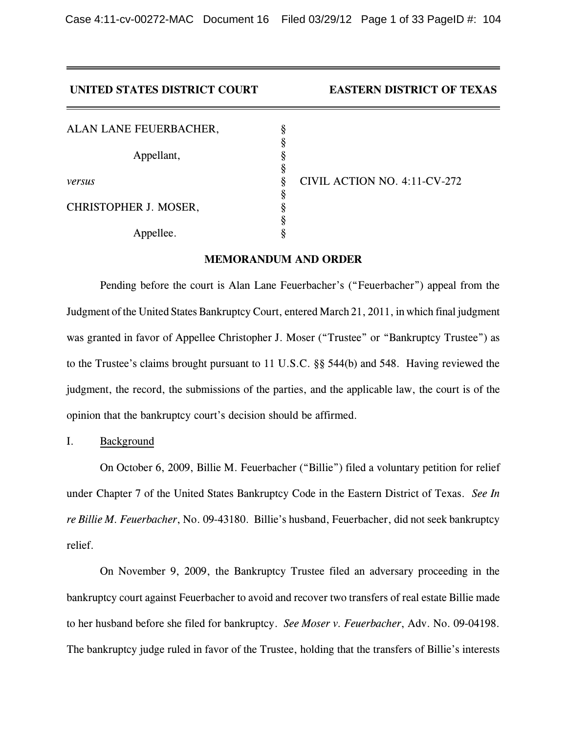Case 4:11-cv-00272-MAC Document 16 Filed 03/29/12 Page 1 of 33 PageID #: 104

| UNITED STATES DISTRICT COURT | <b>EASTERN DISTRICT OF TEXAS</b> |
|------------------------------|----------------------------------|
| ALAN LANE FEUERBACHER,       |                                  |
| Appellant,                   |                                  |
| versus                       | CIVIL ACTION NO. 4:11-CV-272     |
| CHRISTOPHER J. MOSER,        |                                  |
| Appellee.                    |                                  |

### **MEMORANDUM AND ORDER**

Pending before the court is Alan Lane Feuerbacher's ("Feuerbacher") appeal from the Judgment of the United States Bankruptcy Court, entered March 21, 2011, in which final judgment was granted in favor of Appellee Christopher J. Moser ("Trustee" or "Bankruptcy Trustee") as to the Trustee's claims brought pursuant to 11 U.S.C. §§ 544(b) and 548. Having reviewed the judgment, the record, the submissions of the parties, and the applicable law, the court is of the opinion that the bankruptcy court's decision should be affirmed.

I. Background

On October 6, 2009, Billie M. Feuerbacher ("Billie") filed a voluntary petition for relief under Chapter 7 of the United States Bankruptcy Code in the Eastern District of Texas. *See In re Billie M. Feuerbacher*, No. 09-43180. Billie's husband, Feuerbacher, did not seek bankruptcy relief.

On November 9, 2009, the Bankruptcy Trustee filed an adversary proceeding in the bankruptcy court against Feuerbacher to avoid and recover two transfers of real estate Billie made to her husband before she filed for bankruptcy. *See Moser v. Feuerbacher*, Adv. No. 09-04198. The bankruptcy judge ruled in favor of the Trustee, holding that the transfers of Billie's interests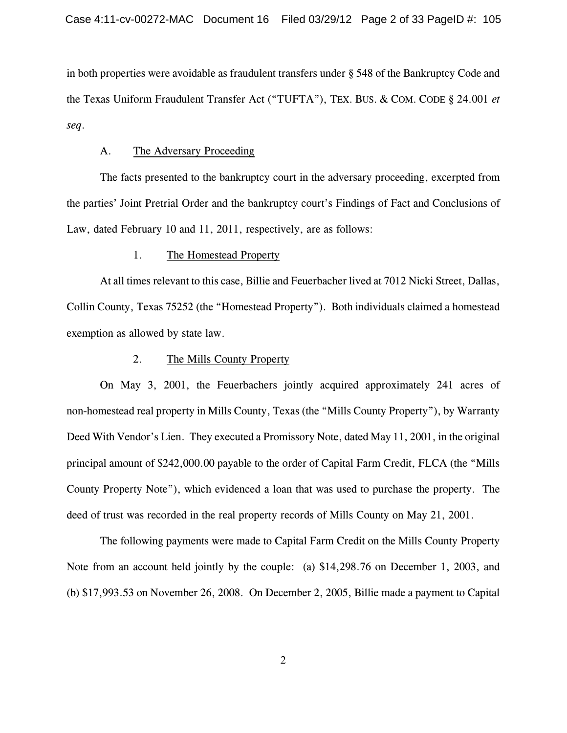in both properties were avoidable as fraudulent transfers under § 548 of the Bankruptcy Code and the Texas Uniform Fraudulent Transfer Act ("TUFTA"), TEX. BUS. & COM. CODE § 24.001 *et seq*.

#### A. The Adversary Proceeding

The facts presented to the bankruptcy court in the adversary proceeding, excerpted from the parties' Joint Pretrial Order and the bankruptcy court's Findings of Fact and Conclusions of Law, dated February 10 and 11, 2011, respectively, are as follows:

# 1. The Homestead Property

At all times relevant to this case, Billie and Feuerbacher lived at 7012 Nicki Street, Dallas, Collin County, Texas 75252 (the "Homestead Property"). Both individuals claimed a homestead exemption as allowed by state law.

### 2. The Mills County Property

On May 3, 2001, the Feuerbachers jointly acquired approximately 241 acres of non-homestead real property in Mills County, Texas (the "Mills County Property"), by Warranty Deed With Vendor's Lien. They executed a Promissory Note, dated May 11, 2001, in the original principal amount of \$242,000.00 payable to the order of Capital Farm Credit, FLCA (the "Mills County Property Note"), which evidenced a loan that was used to purchase the property. The deed of trust was recorded in the real property records of Mills County on May 21, 2001.

The following payments were made to Capital Farm Credit on the Mills County Property Note from an account held jointly by the couple: (a) \$14,298.76 on December 1, 2003, and (b) \$17,993.53 on November 26, 2008. On December 2, 2005, Billie made a payment to Capital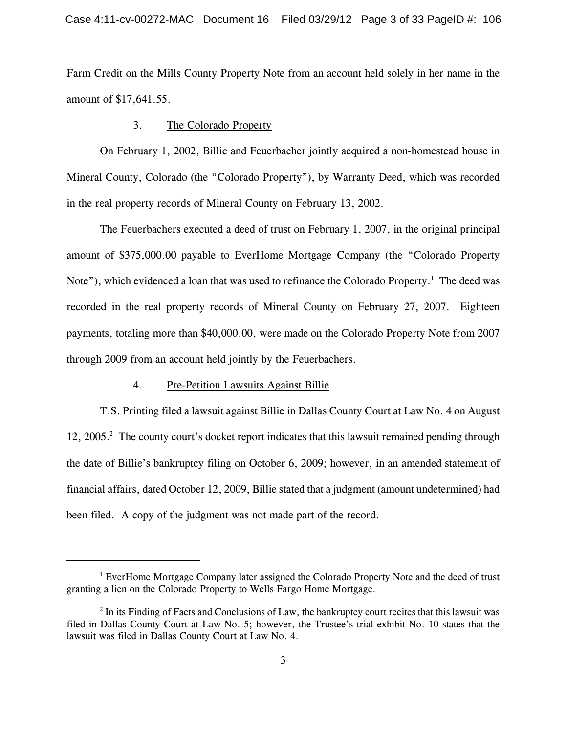Farm Credit on the Mills County Property Note from an account held solely in her name in the amount of \$17,641.55.

## 3. The Colorado Property

On February 1, 2002, Billie and Feuerbacher jointly acquired a non-homestead house in Mineral County, Colorado (the "Colorado Property"), by Warranty Deed, which was recorded in the real property records of Mineral County on February 13, 2002.

The Feuerbachers executed a deed of trust on February 1, 2007, in the original principal amount of \$375,000.00 payable to EverHome Mortgage Company (the "Colorado Property Note"), which evidenced a loan that was used to refinance the Colorado Property.<sup>1</sup> The deed was recorded in the real property records of Mineral County on February 27, 2007. Eighteen payments, totaling more than \$40,000.00, were made on the Colorado Property Note from 2007 through 2009 from an account held jointly by the Feuerbachers.

# 4. Pre-Petition Lawsuits Against Billie

T.S. Printing filed a lawsuit against Billie in Dallas County Court at Law No. 4 on August 12, 2005.<sup>2</sup> The county court's docket report indicates that this lawsuit remained pending through the date of Billie's bankruptcy filing on October 6, 2009; however, in an amended statement of financial affairs, dated October 12, 2009, Billie stated that a judgment (amount undetermined) had been filed. A copy of the judgment was not made part of the record.

<sup>&</sup>lt;sup>1</sup> EverHome Mortgage Company later assigned the Colorado Property Note and the deed of trust granting a lien on the Colorado Property to Wells Fargo Home Mortgage.

 $\frac{1}{2}$  In its Finding of Facts and Conclusions of Law, the bankruptcy court recites that this lawsuit was filed in Dallas County Court at Law No. 5; however, the Trustee's trial exhibit No. 10 states that the lawsuit was filed in Dallas County Court at Law No. 4.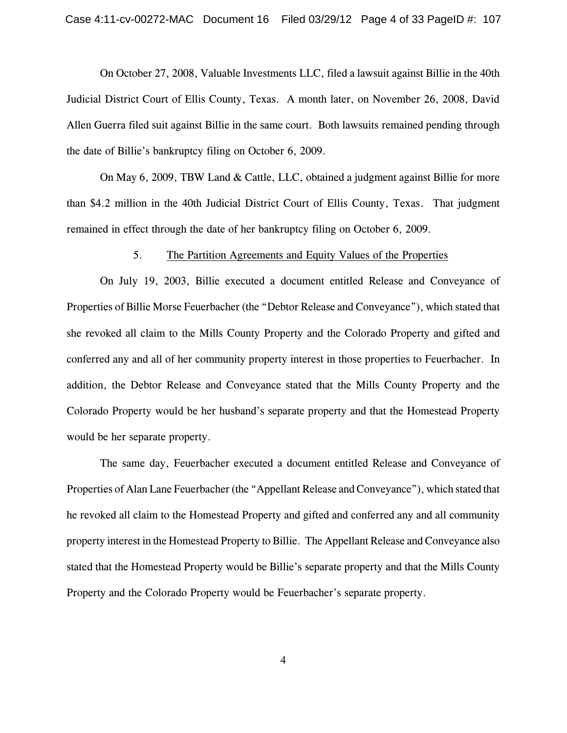On October 27, 2008, Valuable Investments LLC, filed a lawsuit against Billie in the 40th Judicial District Court of Ellis County, Texas. A month later, on November 26, 2008, David Allen Guerra filed suit against Billie in the same court. Both lawsuits remained pending through the date of Billie's bankruptcy filing on October 6, 2009.

On May 6, 2009, TBW Land & Cattle, LLC, obtained a judgment against Billie for more than \$4.2 million in the 40th Judicial District Court of Ellis County, Texas. That judgment remained in effect through the date of her bankruptcy filing on October 6, 2009.

## 5. The Partition Agreements and Equity Values of the Properties

On July 19, 2003, Billie executed a document entitled Release and Conveyance of Properties of Billie Morse Feuerbacher (the "Debtor Release and Conveyance"), which stated that she revoked all claim to the Mills County Property and the Colorado Property and gifted and conferred any and all of her community property interest in those properties to Feuerbacher. In addition, the Debtor Release and Conveyance stated that the Mills County Property and the Colorado Property would be her husband's separate property and that the Homestead Property would be her separate property.

The same day, Feuerbacher executed a document entitled Release and Conveyance of Properties of Alan Lane Feuerbacher (the "Appellant Release and Conveyance"), which stated that he revoked all claim to the Homestead Property and gifted and conferred any and all community property interest in the Homestead Property to Billie. The Appellant Release and Conveyance also stated that the Homestead Property would be Billie's separate property and that the Mills County Property and the Colorado Property would be Feuerbacher's separate property.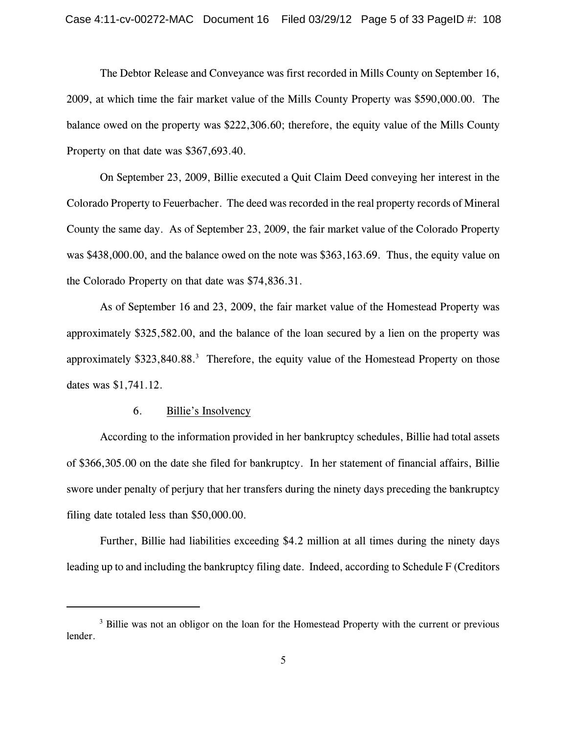The Debtor Release and Conveyance was first recorded in Mills County on September 16, 2009, at which time the fair market value of the Mills County Property was \$590,000.00. The balance owed on the property was \$222,306.60; therefore, the equity value of the Mills County Property on that date was \$367,693.40.

On September 23, 2009, Billie executed a Quit Claim Deed conveying her interest in the Colorado Property to Feuerbacher. The deed was recorded in the real property records of Mineral County the same day. As of September 23, 2009, the fair market value of the Colorado Property was \$438,000.00, and the balance owed on the note was \$363,163.69. Thus, the equity value on the Colorado Property on that date was \$74,836.31.

As of September 16 and 23, 2009, the fair market value of the Homestead Property was approximately \$325,582.00, and the balance of the loan secured by a lien on the property was approximately \$323,840.88.<sup>3</sup> Therefore, the equity value of the Homestead Property on those dates was \$1,741.12.

#### 6. Billie's Insolvency

According to the information provided in her bankruptcy schedules, Billie had total assets of \$366,305.00 on the date she filed for bankruptcy. In her statement of financial affairs, Billie swore under penalty of perjury that her transfers during the ninety days preceding the bankruptcy filing date totaled less than \$50,000.00.

Further, Billie had liabilities exceeding \$4.2 million at all times during the ninety days leading up to and including the bankruptcy filing date. Indeed, according to Schedule F (Creditors

<sup>&</sup>lt;sup>3</sup> Billie was not an obligor on the loan for the Homestead Property with the current or previous lender.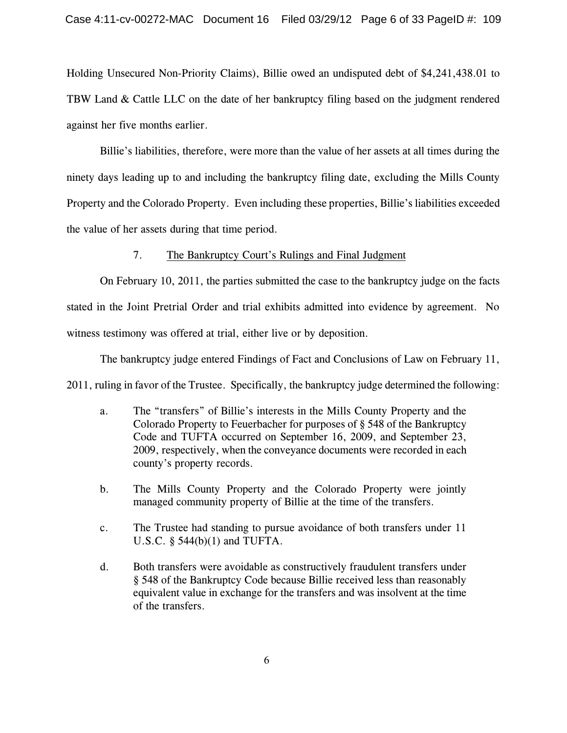Holding Unsecured Non-Priority Claims), Billie owed an undisputed debt of \$4,241,438.01 to TBW Land & Cattle LLC on the date of her bankruptcy filing based on the judgment rendered against her five months earlier.

Billie's liabilities, therefore, were more than the value of her assets at all times during the ninety days leading up to and including the bankruptcy filing date, excluding the Mills County Property and the Colorado Property. Even including these properties, Billie's liabilities exceeded the value of her assets during that time period.

# 7. The Bankruptcy Court's Rulings and Final Judgment

On February 10, 2011, the parties submitted the case to the bankruptcy judge on the facts stated in the Joint Pretrial Order and trial exhibits admitted into evidence by agreement. No witness testimony was offered at trial, either live or by deposition.

The bankruptcy judge entered Findings of Fact and Conclusions of Law on February 11,

2011, ruling in favor of the Trustee. Specifically, the bankruptcy judge determined the following:

- a. The "transfers" of Billie's interests in the Mills County Property and the Colorado Property to Feuerbacher for purposes of § 548 of the Bankruptcy Code and TUFTA occurred on September 16, 2009, and September 23, 2009, respectively, when the conveyance documents were recorded in each county's property records.
- b. The Mills County Property and the Colorado Property were jointly managed community property of Billie at the time of the transfers.
- c. The Trustee had standing to pursue avoidance of both transfers under 11 U.S.C. § 544(b)(1) and TUFTA.
- d. Both transfers were avoidable as constructively fraudulent transfers under § 548 of the Bankruptcy Code because Billie received less than reasonably equivalent value in exchange for the transfers and was insolvent at the time of the transfers.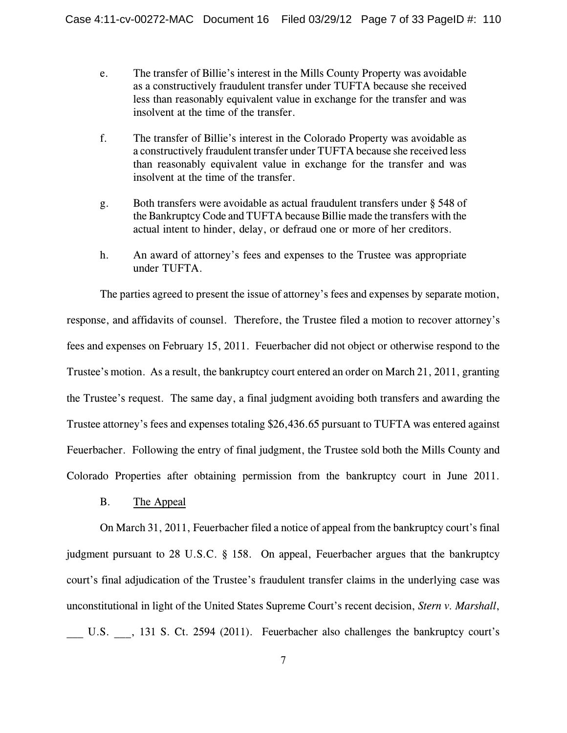- e. The transfer of Billie's interest in the Mills County Property was avoidable as a constructively fraudulent transfer under TUFTA because she received less than reasonably equivalent value in exchange for the transfer and was insolvent at the time of the transfer.
- f. The transfer of Billie's interest in the Colorado Property was avoidable as a constructively fraudulent transfer under TUFTA because she received less than reasonably equivalent value in exchange for the transfer and was insolvent at the time of the transfer.
- g. Both transfers were avoidable as actual fraudulent transfers under § 548 of the Bankruptcy Code and TUFTA because Billie made the transfers with the actual intent to hinder, delay, or defraud one or more of her creditors.
- h. An award of attorney's fees and expenses to the Trustee was appropriate under TUFTA.

The parties agreed to present the issue of attorney's fees and expenses by separate motion, response, and affidavits of counsel. Therefore, the Trustee filed a motion to recover attorney's fees and expenses on February 15, 2011. Feuerbacher did not object or otherwise respond to the Trustee's motion. As a result, the bankruptcy court entered an order on March 21, 2011, granting the Trustee's request. The same day, a final judgment avoiding both transfers and awarding the Trustee attorney's fees and expenses totaling \$26,436.65 pursuant to TUFTA was entered against Feuerbacher. Following the entry of final judgment, the Trustee sold both the Mills County and Colorado Properties after obtaining permission from the bankruptcy court in June 2011.

B. The Appeal

On March 31, 2011, Feuerbacher filed a notice of appeal from the bankruptcy court's final judgment pursuant to 28 U.S.C. § 158. On appeal, Feuerbacher argues that the bankruptcy court's final adjudication of the Trustee's fraudulent transfer claims in the underlying case was unconstitutional in light of the United States Supreme Court's recent decision, *Stern v. Marshall*, \_\_\_ U.S. \_\_\_, 131 S. Ct. 2594 (2011). Feuerbacher also challenges the bankruptcy court's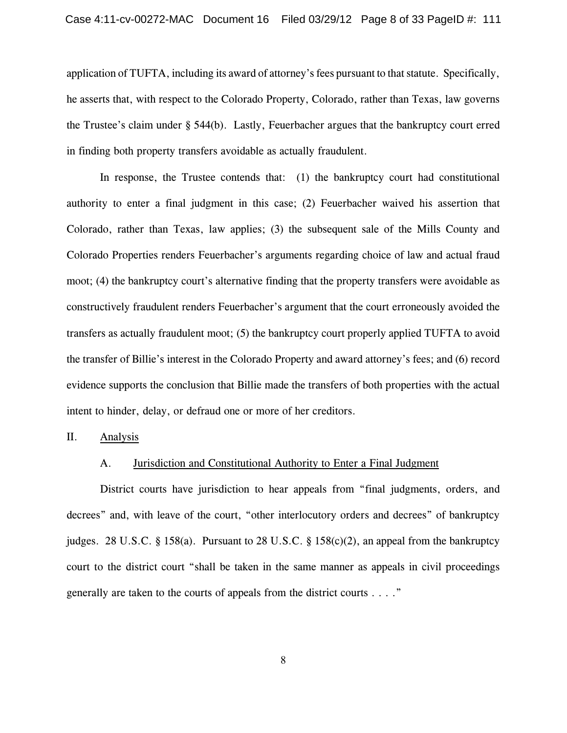application of TUFTA, including its award of attorney's fees pursuant to that statute. Specifically, he asserts that, with respect to the Colorado Property, Colorado, rather than Texas, law governs the Trustee's claim under § 544(b). Lastly, Feuerbacher argues that the bankruptcy court erred in finding both property transfers avoidable as actually fraudulent.

In response, the Trustee contends that: (1) the bankruptcy court had constitutional authority to enter a final judgment in this case; (2) Feuerbacher waived his assertion that Colorado, rather than Texas, law applies; (3) the subsequent sale of the Mills County and Colorado Properties renders Feuerbacher's arguments regarding choice of law and actual fraud moot; (4) the bankruptcy court's alternative finding that the property transfers were avoidable as constructively fraudulent renders Feuerbacher's argument that the court erroneously avoided the transfers as actually fraudulent moot; (5) the bankruptcy court properly applied TUFTA to avoid the transfer of Billie's interest in the Colorado Property and award attorney's fees; and (6) record evidence supports the conclusion that Billie made the transfers of both properties with the actual intent to hinder, delay, or defraud one or more of her creditors.

II. Analysis

### A. Jurisdiction and Constitutional Authority to Enter a Final Judgment

District courts have jurisdiction to hear appeals from "final judgments, orders, and decrees" and, with leave of the court, "other interlocutory orders and decrees" of bankruptcy judges. 28 U.S.C. § 158(a). Pursuant to 28 U.S.C. § 158(c)(2), an appeal from the bankruptcy court to the district court "shall be taken in the same manner as appeals in civil proceedings generally are taken to the courts of appeals from the district courts . . . ."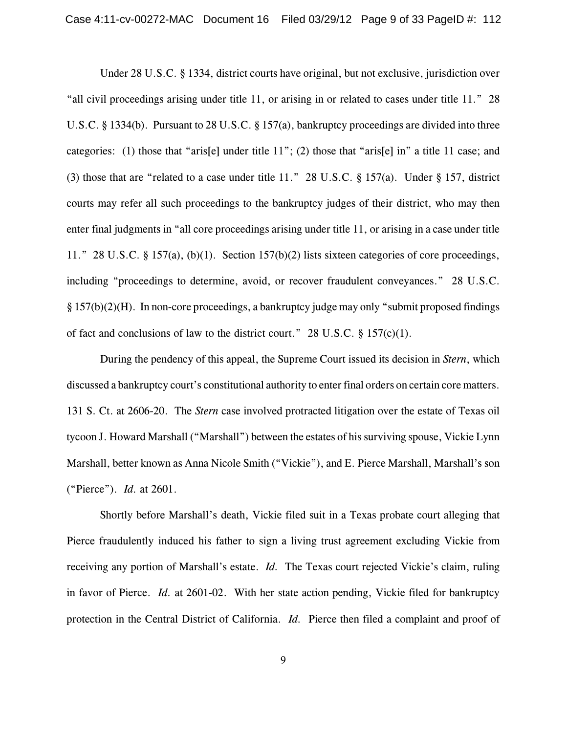Under 28 U.S.C. § 1334, district courts have original, but not exclusive, jurisdiction over "all civil proceedings arising under title 11, or arising in or related to cases under title 11." 28 U.S.C. § 1334(b). Pursuant to 28 U.S.C. § 157(a), bankruptcy proceedings are divided into three categories: (1) those that "aris[e] under title 11"; (2) those that "aris[e] in" a title 11 case; and (3) those that are "related to a case under title 11." 28 U.S.C. § 157(a). Under § 157, district courts may refer all such proceedings to the bankruptcy judges of their district, who may then enter final judgments in "all core proceedings arising under title 11, or arising in a case under title 11." 28 U.S.C. § 157(a), (b)(1). Section 157(b)(2) lists sixteen categories of core proceedings, including "proceedings to determine, avoid, or recover fraudulent conveyances." 28 U.S.C. § 157(b)(2)(H). In non-core proceedings, a bankruptcy judge may only "submit proposed findings of fact and conclusions of law to the district court." 28 U.S.C.  $\S$  157(c)(1).

During the pendency of this appeal, the Supreme Court issued its decision in *Stern*, which discussed a bankruptcy court's constitutional authority to enter final orders on certain core matters. 131 S. Ct. at 2606-20. The *Stern* case involved protracted litigation over the estate of Texas oil tycoon J. Howard Marshall ("Marshall") between the estates of his surviving spouse, Vickie Lynn Marshall, better known as Anna Nicole Smith ("Vickie"), and E. Pierce Marshall, Marshall's son ("Pierce"). *Id.* at 2601.

Shortly before Marshall's death, Vickie filed suit in a Texas probate court alleging that Pierce fraudulently induced his father to sign a living trust agreement excluding Vickie from receiving any portion of Marshall's estate. *Id.* The Texas court rejected Vickie's claim, ruling in favor of Pierce. *Id.* at 2601-02. With her state action pending, Vickie filed for bankruptcy protection in the Central District of California. *Id.* Pierce then filed a complaint and proof of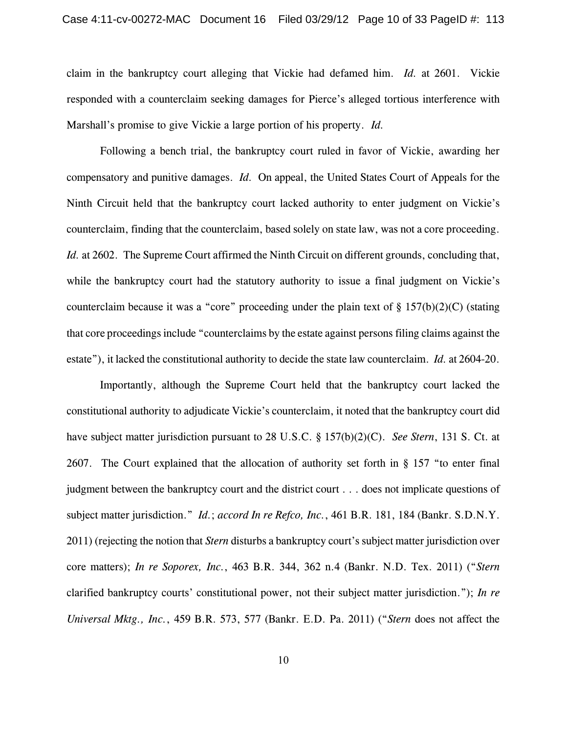claim in the bankruptcy court alleging that Vickie had defamed him. *Id.* at 2601. Vickie responded with a counterclaim seeking damages for Pierce's alleged tortious interference with Marshall's promise to give Vickie a large portion of his property. *Id.*

Following a bench trial, the bankruptcy court ruled in favor of Vickie, awarding her compensatory and punitive damages. *Id.* On appeal, the United States Court of Appeals for the Ninth Circuit held that the bankruptcy court lacked authority to enter judgment on Vickie's counterclaim, finding that the counterclaim, based solely on state law, was not a core proceeding. *Id.* at 2602. The Supreme Court affirmed the Ninth Circuit on different grounds, concluding that, while the bankruptcy court had the statutory authority to issue a final judgment on Vickie's counterclaim because it was a "core" proceeding under the plain text of  $\S 157(b)(2)(C)$  (stating that core proceedings include "counterclaims by the estate against persons filing claims against the estate"), it lacked the constitutional authority to decide the state law counterclaim. *Id.* at 2604-20.

Importantly, although the Supreme Court held that the bankruptcy court lacked the constitutional authority to adjudicate Vickie's counterclaim, it noted that the bankruptcy court did have subject matter jurisdiction pursuant to 28 U.S.C. § 157(b)(2)(C). *See Stern*, 131 S. Ct. at 2607. The Court explained that the allocation of authority set forth in § 157 "to enter final judgment between the bankruptcy court and the district court . . . does not implicate questions of subject matter jurisdiction." *Id.*; *accord In re Refco, Inc.*, 461 B.R. 181, 184 (Bankr. S.D.N.Y. 2011) (rejecting the notion that *Stern* disturbs a bankruptcy court's subject matter jurisdiction over core matters); *In re Soporex, Inc.*, 463 B.R. 344, 362 n.4 (Bankr. N.D. Tex. 2011) ("*Stern* clarified bankruptcy courts' constitutional power, not their subject matter jurisdiction."); *In re Universal Mktg., Inc.*, 459 B.R. 573, 577 (Bankr. E.D. Pa. 2011) ("*Stern* does not affect the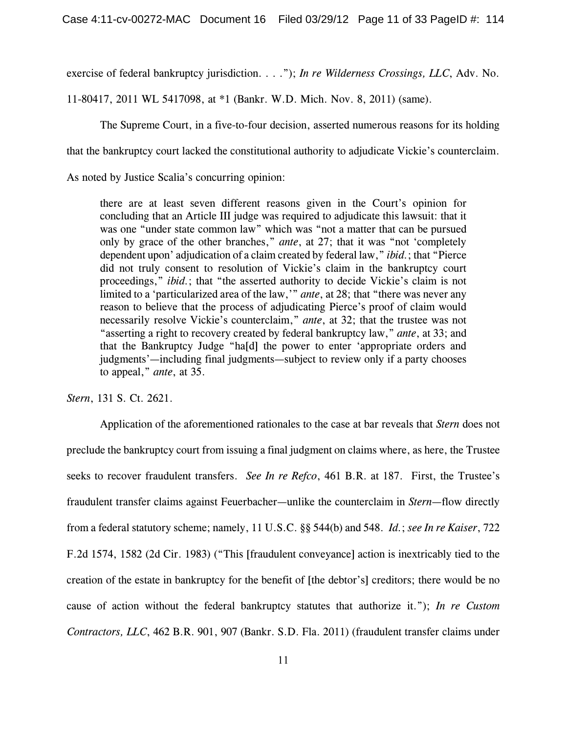exercise of federal bankruptcy jurisdiction. . . ."); *In re Wilderness Crossings, LLC*, Adv. No.

11-80417, 2011 WL 5417098, at \*1 (Bankr. W.D. Mich. Nov. 8, 2011) (same).

The Supreme Court, in a five-to-four decision, asserted numerous reasons for its holding

that the bankruptcy court lacked the constitutional authority to adjudicate Vickie's counterclaim.

As noted by Justice Scalia's concurring opinion:

there are at least seven different reasons given in the Court's opinion for concluding that an Article III judge was required to adjudicate this lawsuit: that it was one "under state common law" which was "not a matter that can be pursued only by grace of the other branches," *ante*, at 27; that it was "not 'completely dependent upon' adjudication of a claim created by federal law," *ibid.*; that "Pierce did not truly consent to resolution of Vickie's claim in the bankruptcy court proceedings," *ibid.*; that "the asserted authority to decide Vickie's claim is not limited to a 'particularized area of the law,'" *ante*, at 28; that "there was never any reason to believe that the process of adjudicating Pierce's proof of claim would necessarily resolve Vickie's counterclaim," *ante*, at 32; that the trustee was not "asserting a right to recovery created by federal bankruptcy law," *ante*, at 33; and that the Bankruptcy Judge "ha[d] the power to enter 'appropriate orders and judgments'—including final judgments—subject to review only if a party chooses to appeal," *ante*, at 35.

*Stern*, 131 S. Ct. 2621.

Application of the aforementioned rationales to the case at bar reveals that *Stern* does not preclude the bankruptcy court from issuing a final judgment on claims where, as here, the Trustee seeks to recover fraudulent transfers. *See In re Refco*, 461 B.R. at 187. First, the Trustee's fraudulent transfer claims against Feuerbacher—unlike the counterclaim in *Stern*—flow directly from a federal statutory scheme; namely, 11 U.S.C. §§ 544(b) and 548. *Id.*; *see In re Kaiser*, 722 F.2d 1574, 1582 (2d Cir. 1983) ("This [fraudulent conveyance] action is inextricably tied to the creation of the estate in bankruptcy for the benefit of [the debtor's] creditors; there would be no cause of action without the federal bankruptcy statutes that authorize it."); *In re Custom Contractors, LLC*, 462 B.R. 901, 907 (Bankr. S.D. Fla. 2011) (fraudulent transfer claims under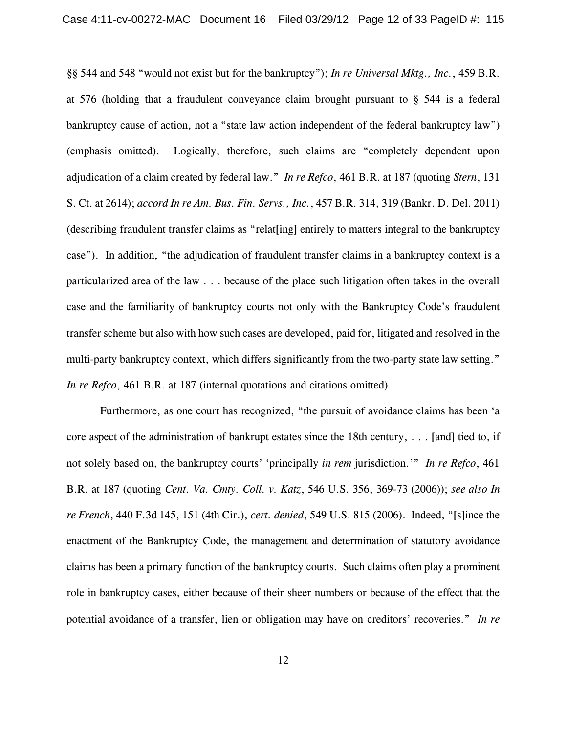§§ 544 and 548 "would not exist but for the bankruptcy"); *In re Universal Mktg., Inc.*, 459 B.R. at 576 (holding that a fraudulent conveyance claim brought pursuant to § 544 is a federal bankruptcy cause of action, not a "state law action independent of the federal bankruptcy law") (emphasis omitted). Logically, therefore, such claims are "completely dependent upon adjudication of a claim created by federal law." *In re Refco*, 461 B.R. at 187 (quoting *Stern*, 131 S. Ct. at 2614); *accord In re Am. Bus. Fin. Servs., Inc.*, 457 B.R. 314, 319 (Bankr. D. Del. 2011) (describing fraudulent transfer claims as "relat[ing] entirely to matters integral to the bankruptcy case"). In addition, "the adjudication of fraudulent transfer claims in a bankruptcy context is a particularized area of the law . . . because of the place such litigation often takes in the overall case and the familiarity of bankruptcy courts not only with the Bankruptcy Code's fraudulent transfer scheme but also with how such cases are developed, paid for, litigated and resolved in the multi-party bankruptcy context, which differs significantly from the two-party state law setting." *In re Refco*, 461 B.R. at 187 (internal quotations and citations omitted).

Furthermore, as one court has recognized, "the pursuit of avoidance claims has been 'a core aspect of the administration of bankrupt estates since the 18th century, . . . [and] tied to, if not solely based on, the bankruptcy courts' 'principally *in rem* jurisdiction.'" *In re Refco*, 461 B.R. at 187 (quoting *Cent. Va. Cmty. Coll. v. Katz*, 546 U.S. 356, 369-73 (2006)); *see also In re French*, 440 F.3d 145, 151 (4th Cir.), *cert. denied*, 549 U.S. 815 (2006). Indeed, "[s]ince the enactment of the Bankruptcy Code, the management and determination of statutory avoidance claims has been a primary function of the bankruptcy courts. Such claims often play a prominent role in bankruptcy cases, either because of their sheer numbers or because of the effect that the potential avoidance of a transfer, lien or obligation may have on creditors' recoveries." *In re*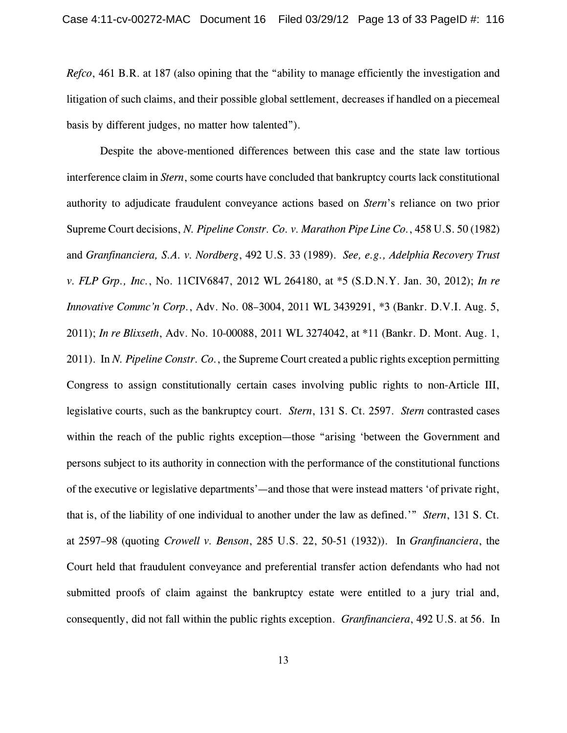*Refco*, 461 B.R. at 187 (also opining that the "ability to manage efficiently the investigation and litigation of such claims, and their possible global settlement, decreases if handled on a piecemeal basis by different judges, no matter how talented").

Despite the above-mentioned differences between this case and the state law tortious interference claim in *Stern*, some courts have concluded that bankruptcy courts lack constitutional authority to adjudicate fraudulent conveyance actions based on *Stern*'s reliance on two prior Supreme Court decisions, *N. Pipeline Constr. Co. v. Marathon Pipe Line Co.*, 458 U.S. 50 (1982) and *Granfinanciera, S.A. v. Nordberg*, 492 U.S. 33 (1989). *See, e.g., Adelphia Recovery Trust v. FLP Grp., Inc.*, No. 11CIV6847, 2012 WL 264180, at \*5 (S.D.N.Y. Jan. 30, 2012); *In re Innovative Commc'n Corp.*, Adv. No. 08–3004, 2011 WL 3439291, \*3 (Bankr. D.V.I. Aug. 5, 2011); *In re Blixseth*, Adv. No. 10-00088, 2011 WL 3274042, at \*11 (Bankr. D. Mont. Aug. 1, 2011). In *N. Pipeline Constr. Co.*, the Supreme Court created a public rights exception permitting Congress to assign constitutionally certain cases involving public rights to non-Article III, legislative courts, such as the bankruptcy court. *Stern*, 131 S. Ct. 2597. *Stern* contrasted cases within the reach of the public rights exception—those "arising 'between the Government and persons subject to its authority in connection with the performance of the constitutional functions of the executive or legislative departments'—and those that were instead matters 'of private right, that is, of the liability of one individual to another under the law as defined.'" *Stern*, 131 S. Ct. at 2597–98 (quoting *Crowell v. Benson*, 285 U.S. 22, 50-51 (1932)). In *Granfinanciera*, the Court held that fraudulent conveyance and preferential transfer action defendants who had not submitted proofs of claim against the bankruptcy estate were entitled to a jury trial and, consequently, did not fall within the public rights exception. *Granfinanciera*, 492 U.S. at 56. In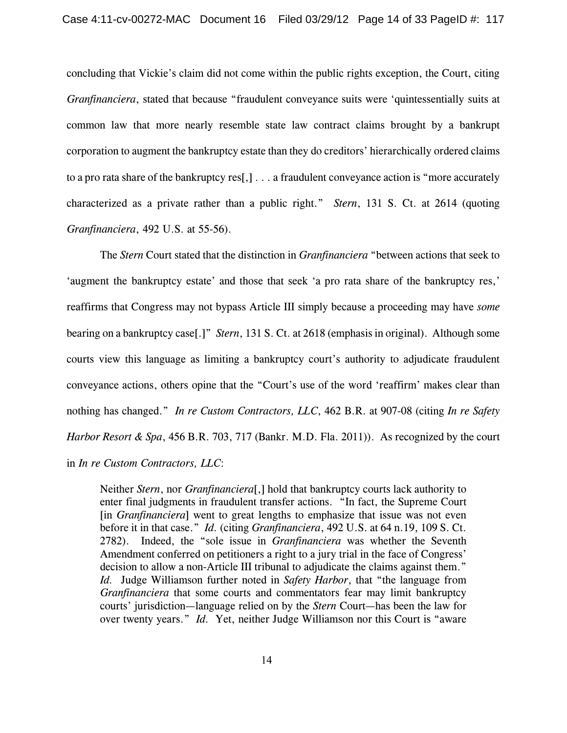concluding that Vickie's claim did not come within the public rights exception, the Court, citing *Granfinanciera*, stated that because "fraudulent conveyance suits were 'quintessentially suits at common law that more nearly resemble state law contract claims brought by a bankrupt corporation to augment the bankruptcy estate than they do creditors' hierarchically ordered claims to a pro rata share of the bankruptcy res[,] . . . a fraudulent conveyance action is "more accurately characterized as a private rather than a public right." *Stern*, 131 S. Ct. at 2614 (quoting *Granfinanciera*, 492 U.S. at 55-56).

The *Stern* Court stated that the distinction in *Granfinanciera* "between actions that seek to 'augment the bankruptcy estate' and those that seek 'a pro rata share of the bankruptcy res,' reaffirms that Congress may not bypass Article III simply because a proceeding may have *some* bearing on a bankruptcy case[.]" *Stern*, 131 S. Ct. at 2618 (emphasis in original). Although some courts view this language as limiting a bankruptcy court's authority to adjudicate fraudulent conveyance actions, others opine that the "Court's use of the word 'reaffirm' makes clear than nothing has changed." *In re Custom Contractors, LLC*, 462 B.R. at 907-08 (citing *In re Safety Harbor Resort & Spa*, 456 B.R. 703, 717 (Bankr. M.D. Fla. 2011)). As recognized by the court in *In re Custom Contractors, LLC*:

Neither *Stern*, nor *Granfinanciera*[,] hold that bankruptcy courts lack authority to enter final judgments in fraudulent transfer actions. "In fact, the Supreme Court [in *Granfinanciera*] went to great lengths to emphasize that issue was not even before it in that case." *Id.* (citing *Granfinanciera*, 492 U.S. at 64 n.19, 109 S. Ct. 2782). Indeed, the "sole issue in *Granfinanciera* was whether the Seventh Amendment conferred on petitioners a right to a jury trial in the face of Congress' decision to allow a non-Article III tribunal to adjudicate the claims against them." *Id.* Judge Williamson further noted in *Safety Harbor*, that "the language from *Granfinanciera* that some courts and commentators fear may limit bankruptcy courts' jurisdiction—language relied on by the *Stern* Court—has been the law for over twenty years." *Id.* Yet, neither Judge Williamson nor this Court is "aware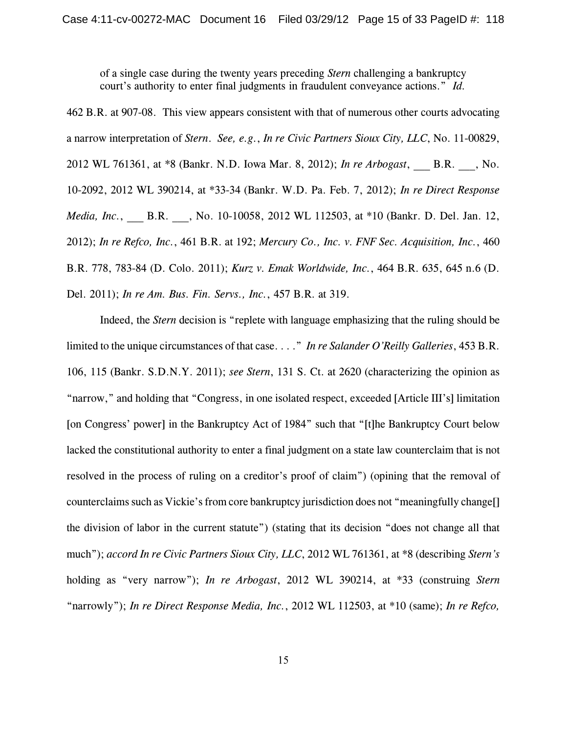of a single case during the twenty years preceding *Stern* challenging a bankruptcy court's authority to enter final judgments in fraudulent conveyance actions." *Id.*

462 B.R. at 907-08. This view appears consistent with that of numerous other courts advocating a narrow interpretation of *Stern*. *See, e.g.*, *In re Civic Partners Sioux City, LLC*, No. 11-00829, 2012 WL 761361, at \*8 (Bankr. N.D. Iowa Mar. 8, 2012); *In re Arbogast*, \_\_\_ B.R. \_\_\_, No. 10-2092, 2012 WL 390214, at \*33-34 (Bankr. W.D. Pa. Feb. 7, 2012); *In re Direct Response Media, Inc.*, B.R. , No. 10-10058, 2012 WL 112503, at \*10 (Bankr. D. Del. Jan. 12, 2012); *In re Refco, Inc.*, 461 B.R. at 192; *Mercury Co., Inc. v. FNF Sec. Acquisition, Inc.*, 460 B.R. 778, 783-84 (D. Colo. 2011); *Kurz v. Emak Worldwide, Inc.*, 464 B.R. 635, 645 n.6 (D. Del. 2011); *In re Am. Bus. Fin. Servs., Inc.*, 457 B.R. at 319.

Indeed, the *Stern* decision is "replete with language emphasizing that the ruling should be limited to the unique circumstances of that case. . . ." *In re Salander O'Reilly Galleries*, 453 B.R. 106, 115 (Bankr. S.D.N.Y. 2011); *see Stern*, 131 S. Ct. at 2620 (characterizing the opinion as "narrow," and holding that "Congress, in one isolated respect, exceeded [Article III's] limitation [on Congress' power] in the Bankruptcy Act of 1984" such that "[t]he Bankruptcy Court below lacked the constitutional authority to enter a final judgment on a state law counterclaim that is not resolved in the process of ruling on a creditor's proof of claim") (opining that the removal of counterclaims such as Vickie's from core bankruptcy jurisdiction does not "meaningfully change[] the division of labor in the current statute") (stating that its decision "does not change all that much"); *accord In re Civic Partners Sioux City, LLC*, 2012 WL 761361, at \*8 (describing *Stern's* holding as "very narrow"); *In re Arbogast*, 2012 WL 390214, at \*33 (construing *Stern* "narrowly"); *In re Direct Response Media, Inc.*, 2012 WL 112503, at \*10 (same); *In re Refco,*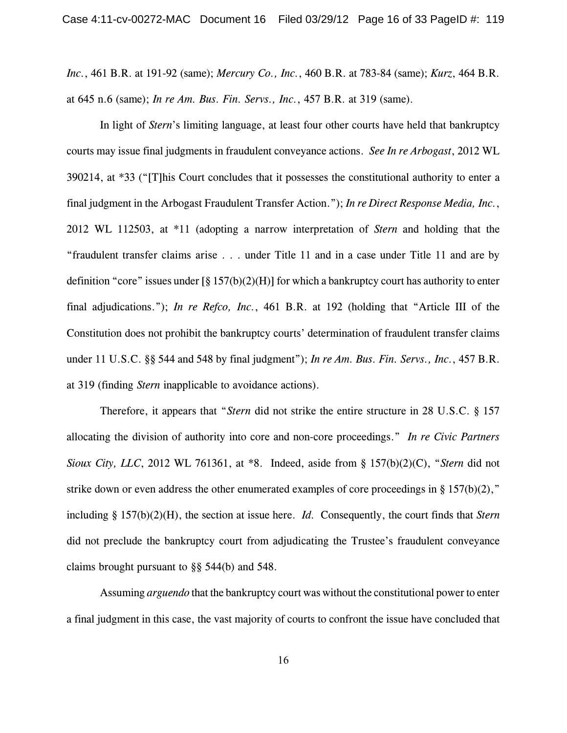*Inc.*, 461 B.R. at 191-92 (same); *Mercury Co., Inc.*, 460 B.R. at 783-84 (same); *Kurz*, 464 B.R. at 645 n.6 (same); *In re Am. Bus. Fin. Servs., Inc.*, 457 B.R. at 319 (same).

In light of *Stern*'s limiting language, at least four other courts have held that bankruptcy courts may issue final judgments in fraudulent conveyance actions. *See In re Arbogast*, 2012 WL 390214, at \*33 ("[T]his Court concludes that it possesses the constitutional authority to enter a final judgment in the Arbogast Fraudulent Transfer Action."); *In re Direct Response Media, Inc.*, 2012 WL 112503, at \*11 (adopting a narrow interpretation of *Stern* and holding that the "fraudulent transfer claims arise . . . under Title 11 and in a case under Title 11 and are by definition "core" issues under  $\lceil \frac{8}{9} \cdot 157(b)(2)(H) \rceil$  for which a bankruptcy court has authority to enter final adjudications."); *In re Refco, Inc.*, 461 B.R. at 192 (holding that "Article III of the Constitution does not prohibit the bankruptcy courts' determination of fraudulent transfer claims under 11 U.S.C. §§ 544 and 548 by final judgment"); *In re Am. Bus. Fin. Servs., Inc.*, 457 B.R. at 319 (finding *Stern* inapplicable to avoidance actions).

Therefore, it appears that "*Stern* did not strike the entire structure in 28 U.S.C. § 157 allocating the division of authority into core and non-core proceedings." *In re Civic Partners Sioux City, LLC*, 2012 WL 761361, at \*8. Indeed, aside from § 157(b)(2)(C), "*Stern* did not strike down or even address the other enumerated examples of core proceedings in §  $157(b)(2)$ ," including § 157(b)(2)(H), the section at issue here. *Id.* Consequently, the court finds that *Stern* did not preclude the bankruptcy court from adjudicating the Trustee's fraudulent conveyance claims brought pursuant to §§ 544(b) and 548.

Assuming *arguendo* that the bankruptcy court was without the constitutional power to enter a final judgment in this case, the vast majority of courts to confront the issue have concluded that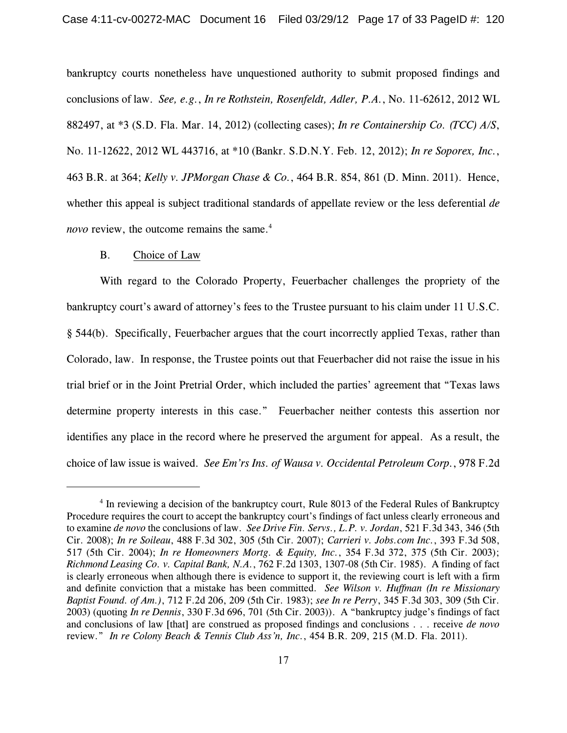bankruptcy courts nonetheless have unquestioned authority to submit proposed findings and conclusions of law. *See, e.g.*, *In re Rothstein, Rosenfeldt, Adler, P.A.*, No. 11-62612, 2012 WL 882497, at \*3 (S.D. Fla. Mar. 14, 2012) (collecting cases); *In re Containership Co. (TCC) A/S*, No. 11-12622, 2012 WL 443716, at \*10 (Bankr. S.D.N.Y. Feb. 12, 2012); *In re Soporex, Inc.*, 463 B.R. at 364; *Kelly v. JPMorgan Chase & Co.*, 464 B.R. 854, 861 (D. Minn. 2011). Hence, whether this appeal is subject traditional standards of appellate review or the less deferential *de novo* review, the outcome remains the same.<sup>4</sup>

### B. Choice of Law

With regard to the Colorado Property, Feuerbacher challenges the propriety of the bankruptcy court's award of attorney's fees to the Trustee pursuant to his claim under 11 U.S.C. § 544(b). Specifically, Feuerbacher argues that the court incorrectly applied Texas, rather than Colorado, law. In response, the Trustee points out that Feuerbacher did not raise the issue in his trial brief or in the Joint Pretrial Order, which included the parties' agreement that "Texas laws determine property interests in this case." Feuerbacher neither contests this assertion nor identifies any place in the record where he preserved the argument for appeal. As a result, the choice of law issue is waived. *See Em'rs Ins. of Wausa v. Occidental Petroleum Corp.*, 978 F.2d

 $<sup>4</sup>$  In reviewing a decision of the bankruptcy court, Rule 8013 of the Federal Rules of Bankruptcy</sup> Procedure requires the court to accept the bankruptcy court's findings of fact unless clearly erroneous and to examine *de novo* the conclusions of law. *See Drive Fin. Servs., L.P. v. Jordan*, 521 F.3d 343, 346 (5th Cir. 2008); *In re Soileau*, 488 F.3d 302, 305 (5th Cir. 2007); *Carrieri v. Jobs.com Inc.*, 393 F.3d 508, 517 (5th Cir. 2004); *In re Homeowners Mortg. & Equity, Inc.*, 354 F.3d 372, 375 (5th Cir. 2003); *Richmond Leasing Co. v. Capital Bank, N.A.*, 762 F.2d 1303, 1307-08 (5th Cir. 1985). A finding of fact is clearly erroneous when although there is evidence to support it, the reviewing court is left with a firm and definite conviction that a mistake has been committed. *See Wilson v. Huffman (In re Missionary Baptist Found. of Am.)*, 712 F.2d 206, 209 (5th Cir. 1983); *see In re Perry*, 345 F.3d 303, 309 (5th Cir. 2003) (quoting *In re Dennis*, 330 F.3d 696, 701 (5th Cir. 2003)). A "bankruptcy judge's findings of fact and conclusions of law [that] are construed as proposed findings and conclusions . . . receive *de novo* review." *In re Colony Beach & Tennis Club Ass'n, Inc.*, 454 B.R. 209, 215 (M.D. Fla. 2011).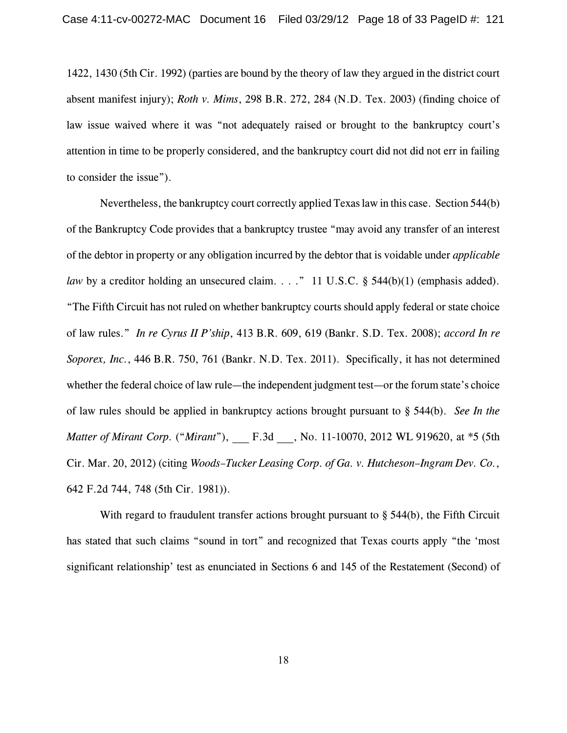1422, 1430 (5th Cir. 1992) (parties are bound by the theory of law they argued in the district court absent manifest injury); *Roth v. Mims*, 298 B.R. 272, 284 (N.D. Tex. 2003) (finding choice of law issue waived where it was "not adequately raised or brought to the bankruptcy court's attention in time to be properly considered, and the bankruptcy court did not did not err in failing to consider the issue").

Nevertheless, the bankruptcy court correctly applied Texas law in this case. Section 544(b) of the Bankruptcy Code provides that a bankruptcy trustee "may avoid any transfer of an interest of the debtor in property or any obligation incurred by the debtor that is voidable under *applicable law* by a creditor holding an unsecured claim. . . ." 11 U.S.C. § 544(b)(1) (emphasis added). "The Fifth Circuit has not ruled on whether bankruptcy courts should apply federal or state choice of law rules." *In re Cyrus II P'ship*, 413 B.R. 609, 619 (Bankr. S.D. Tex. 2008); *accord In re Soporex, Inc.*, 446 B.R. 750, 761 (Bankr. N.D. Tex. 2011). Specifically, it has not determined whether the federal choice of law rule—the independent judgment test—or the forum state's choice of law rules should be applied in bankruptcy actions brought pursuant to § 544(b). *See In the Matter of Mirant Corp.* ("*Mirant*"), F.3d , No. 11-10070, 2012 WL 919620, at \*5 (5th Cir. Mar. 20, 2012) (citing *Woods–Tucker Leasing Corp. of Ga. v. Hutcheson–Ingram Dev. Co.*, 642 F.2d 744, 748 (5th Cir. 1981)).

With regard to fraudulent transfer actions brought pursuant to  $\S$  544(b), the Fifth Circuit has stated that such claims "sound in tort" and recognized that Texas courts apply "the 'most significant relationship' test as enunciated in Sections 6 and 145 of the Restatement (Second) of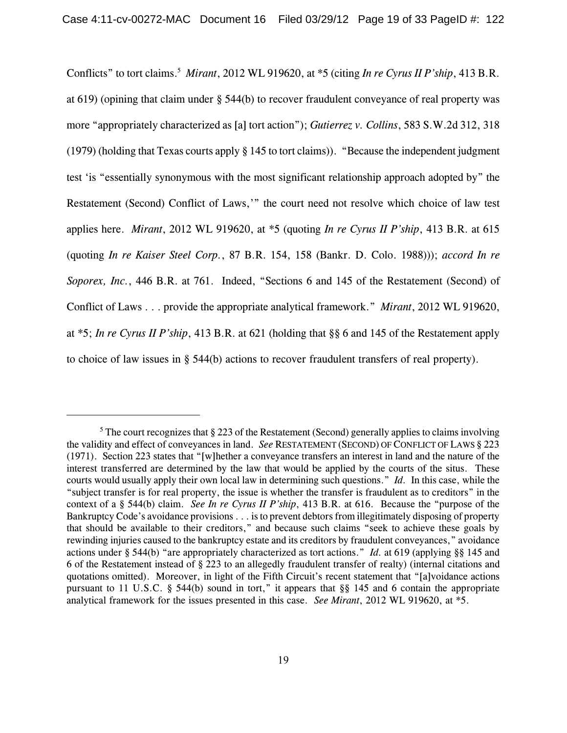Conflicts" to tort claims.<sup>5</sup> Mirant, 2012 WL 919620, at \*5 (citing *In re Cyrus II P'ship*, 413 B.R. at 619) (opining that claim under § 544(b) to recover fraudulent conveyance of real property was more "appropriately characterized as [a] tort action"); *Gutierrez v. Collins*, 583 S.W.2d 312, 318 (1979) (holding that Texas courts apply § 145 to tort claims)). "Because the independent judgment test 'is "essentially synonymous with the most significant relationship approach adopted by" the Restatement (Second) Conflict of Laws,'" the court need not resolve which choice of law test applies here. *Mirant*, 2012 WL 919620, at \*5 (quoting *In re Cyrus II P'ship*, 413 B.R. at 615 (quoting *In re Kaiser Steel Corp.*, 87 B.R. 154, 158 (Bankr. D. Colo. 1988))); *accord In re Soporex, Inc.*, 446 B.R. at 761. Indeed, "Sections 6 and 145 of the Restatement (Second) of Conflict of Laws . . . provide the appropriate analytical framework." *Mirant*, 2012 WL 919620, at \*5; *In re Cyrus II P'ship*, 413 B.R. at 621 (holding that §§ 6 and 145 of the Restatement apply to choice of law issues in § 544(b) actions to recover fraudulent transfers of real property).

<sup>&</sup>lt;sup>5</sup> The court recognizes that  $\S 223$  of the Restatement (Second) generally applies to claims involving the validity and effect of conveyances in land. *See* RESTATEMENT (SECOND) OF CONFLICT OF LAWS § 223 (1971). Section 223 states that "[w]hether a conveyance transfers an interest in land and the nature of the interest transferred are determined by the law that would be applied by the courts of the situs. These courts would usually apply their own local law in determining such questions." *Id.* In this case, while the "subject transfer is for real property, the issue is whether the transfer is fraudulent as to creditors" in the context of a § 544(b) claim. *See In re Cyrus II P'ship*, 413 B.R. at 616. Because the "purpose of the Bankruptcy Code's avoidance provisions . . . is to prevent debtors from illegitimately disposing of property that should be available to their creditors," and because such claims "seek to achieve these goals by rewinding injuries caused to the bankruptcy estate and its creditors by fraudulent conveyances," avoidance actions under § 544(b) "are appropriately characterized as tort actions." *Id.* at 619 (applying §§ 145 and 6 of the Restatement instead of § 223 to an allegedly fraudulent transfer of realty) (internal citations and quotations omitted). Moreover, in light of the Fifth Circuit's recent statement that "[a]voidance actions pursuant to 11 U.S.C. § 544(b) sound in tort," it appears that §§ 145 and 6 contain the appropriate analytical framework for the issues presented in this case. *See Mirant*, 2012 WL 919620, at \*5.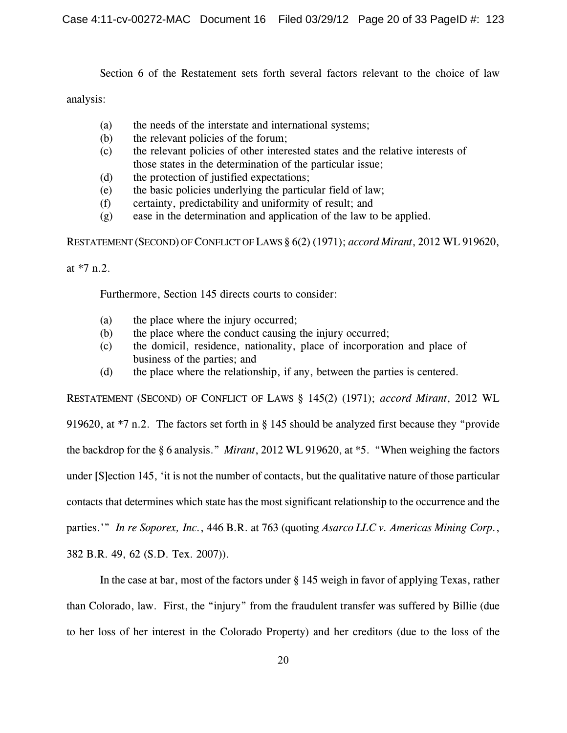Section 6 of the Restatement sets forth several factors relevant to the choice of law

analysis:

- (a) the needs of the interstate and international systems;
- (b) the relevant policies of the forum;
- (c) the relevant policies of other interested states and the relative interests of those states in the determination of the particular issue;
- (d) the protection of justified expectations;
- (e) the basic policies underlying the particular field of law;
- (f) certainty, predictability and uniformity of result; and
- (g) ease in the determination and application of the law to be applied.

RESTATEMENT (SECOND) OFCONFLICT OFLAWS § 6(2) (1971); *accord Mirant*, 2012 WL 919620,

at \*7 n.2.

Furthermore, Section 145 directs courts to consider:

- (a) the place where the injury occurred;
- (b) the place where the conduct causing the injury occurred;
- (c) the domicil, residence, nationality, place of incorporation and place of business of the parties; and
- (d) the place where the relationship, if any, between the parties is centered.

RESTATEMENT (SECOND) OF CONFLICT OF LAWS § 145(2) (1971); *accord Mirant*, 2012 WL 919620, at \*7 n.2. The factors set forth in § 145 should be analyzed first because they "provide the backdrop for the § 6 analysis." *Mirant*, 2012 WL 919620, at \*5. "When weighing the factors under [S]ection 145, 'it is not the number of contacts, but the qualitative nature of those particular contacts that determines which state has the most significant relationship to the occurrence and the parties.'" *In re Soporex, Inc.*, 446 B.R. at 763 (quoting *Asarco LLC v. Americas Mining Corp.*, 382 B.R. 49, 62 (S.D. Tex. 2007)).

In the case at bar, most of the factors under § 145 weigh in favor of applying Texas, rather than Colorado, law. First, the "injury" from the fraudulent transfer was suffered by Billie (due to her loss of her interest in the Colorado Property) and her creditors (due to the loss of the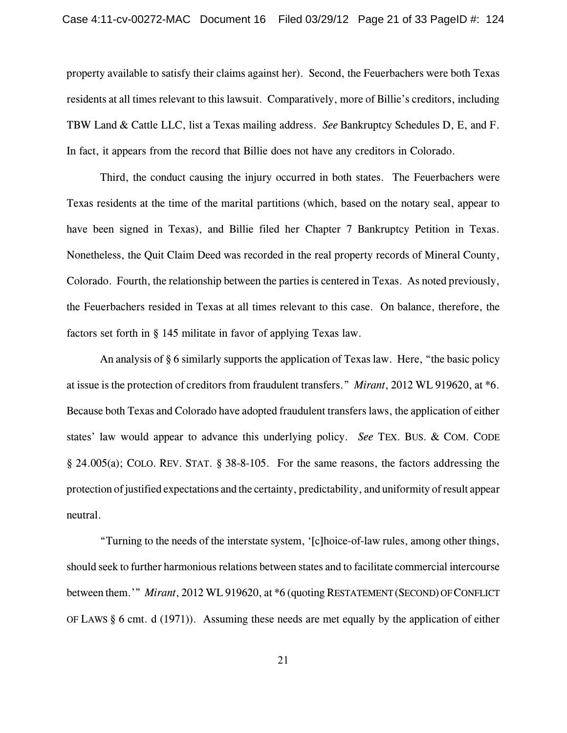property available to satisfy their claims against her). Second, the Feuerbachers were both Texas residents at all times relevant to this lawsuit. Comparatively, more of Billie's creditors, including TBW Land & Cattle LLC, list a Texas mailing address. *See* Bankruptcy Schedules D, E, and F. In fact, it appears from the record that Billie does not have any creditors in Colorado.

Third, the conduct causing the injury occurred in both states. The Feuerbachers were Texas residents at the time of the marital partitions (which, based on the notary seal, appear to have been signed in Texas), and Billie filed her Chapter 7 Bankruptcy Petition in Texas. Nonetheless, the Quit Claim Deed was recorded in the real property records of Mineral County, Colorado. Fourth, the relationship between the parties is centered in Texas. As noted previously, the Feuerbachers resided in Texas at all times relevant to this case. On balance, therefore, the factors set forth in § 145 militate in favor of applying Texas law.

An analysis of § 6 similarly supports the application of Texas law. Here, "the basic policy at issue is the protection of creditors from fraudulent transfers." *Mirant*, 2012 WL 919620, at \*6. Because both Texas and Colorado have adopted fraudulent transfers laws, the application of either states' law would appear to advance this underlying policy. *See* TEX. BUS. & COM. CODE § 24.005(a); COLO. REV. STAT. § 38-8-105. For the same reasons, the factors addressing the protection of justified expectations and the certainty, predictability, and uniformity of result appear neutral.

"Turning to the needs of the interstate system, '[c]hoice-of-law rules, among other things, should seek to further harmonious relations between states and to facilitate commercial intercourse between them.'" *Mirant*, 2012 WL 919620, at \*6 (quoting RESTATEMENT(SECOND) OFCONFLICT OF LAWS § 6 cmt. d (1971)). Assuming these needs are met equally by the application of either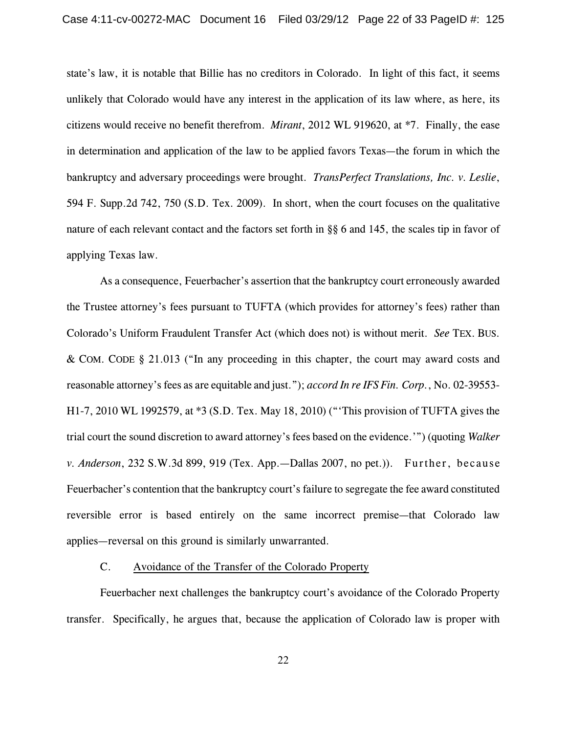state's law, it is notable that Billie has no creditors in Colorado. In light of this fact, it seems unlikely that Colorado would have any interest in the application of its law where, as here, its citizens would receive no benefit therefrom. *Mirant*, 2012 WL 919620, at \*7. Finally, the ease in determination and application of the law to be applied favors Texas—the forum in which the bankruptcy and adversary proceedings were brought. *TransPerfect Translations, Inc. v. Leslie*, 594 F. Supp.2d 742, 750 (S.D. Tex. 2009). In short, when the court focuses on the qualitative nature of each relevant contact and the factors set forth in §§ 6 and 145, the scales tip in favor of applying Texas law.

As a consequence, Feuerbacher's assertion that the bankruptcy court erroneously awarded the Trustee attorney's fees pursuant to TUFTA (which provides for attorney's fees) rather than Colorado's Uniform Fraudulent Transfer Act (which does not) is without merit. *See* TEX. BUS. & COM. CODE § 21.013 ("In any proceeding in this chapter, the court may award costs and reasonable attorney's fees as are equitable and just."); *accord In re IFS Fin. Corp.*, No. 02-39553- H1-7, 2010 WL 1992579, at \*3 (S.D. Tex. May 18, 2010) ("'This provision of TUFTA gives the trial court the sound discretion to award attorney's fees based on the evidence.'") (quoting *Walker v. Anderson*, 232 S.W.3d 899, 919 (Tex. App.—Dallas 2007, no pet.)). Further, because Feuerbacher's contention that the bankruptcy court's failure to segregate the fee award constituted reversible error is based entirely on the same incorrect premise—that Colorado law applies—reversal on this ground is similarly unwarranted.

# C. Avoidance of the Transfer of the Colorado Property

Feuerbacher next challenges the bankruptcy court's avoidance of the Colorado Property transfer. Specifically, he argues that, because the application of Colorado law is proper with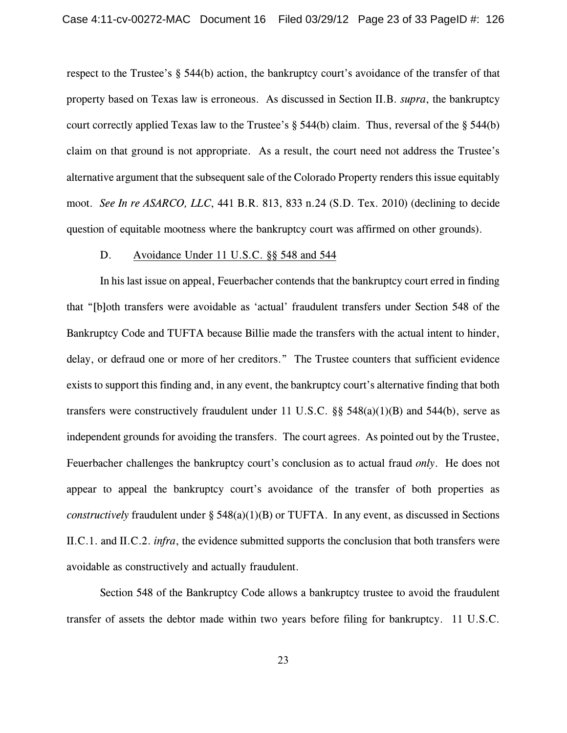respect to the Trustee's § 544(b) action, the bankruptcy court's avoidance of the transfer of that property based on Texas law is erroneous. As discussed in Section II.B. *supra*, the bankruptcy court correctly applied Texas law to the Trustee's  $\S$  544(b) claim. Thus, reversal of the  $\S$  544(b) claim on that ground is not appropriate. As a result, the court need not address the Trustee's alternative argument that the subsequent sale of the Colorado Property renders this issue equitably moot. *See In re ASARCO, LLC*, 441 B.R. 813, 833 n.24 (S.D. Tex. 2010) (declining to decide question of equitable mootness where the bankruptcy court was affirmed on other grounds).

### D. Avoidance Under 11 U.S.C. §§ 548 and 544

In his last issue on appeal, Feuerbacher contends that the bankruptcy court erred in finding that "[b]oth transfers were avoidable as 'actual' fraudulent transfers under Section 548 of the Bankruptcy Code and TUFTA because Billie made the transfers with the actual intent to hinder, delay, or defraud one or more of her creditors." The Trustee counters that sufficient evidence exists to support this finding and, in any event, the bankruptcy court's alternative finding that both transfers were constructively fraudulent under 11 U.S.C.  $\S$ § 548(a)(1)(B) and 544(b), serve as independent grounds for avoiding the transfers. The court agrees. As pointed out by the Trustee, Feuerbacher challenges the bankruptcy court's conclusion as to actual fraud *only*. He does not appear to appeal the bankruptcy court's avoidance of the transfer of both properties as *constructively* fraudulent under  $\S$  548(a)(1)(B) or TUFTA. In any event, as discussed in Sections II.C.1. and II.C.2. *infra*, the evidence submitted supports the conclusion that both transfers were avoidable as constructively and actually fraudulent.

Section 548 of the Bankruptcy Code allows a bankruptcy trustee to avoid the fraudulent transfer of assets the debtor made within two years before filing for bankruptcy. 11 U.S.C.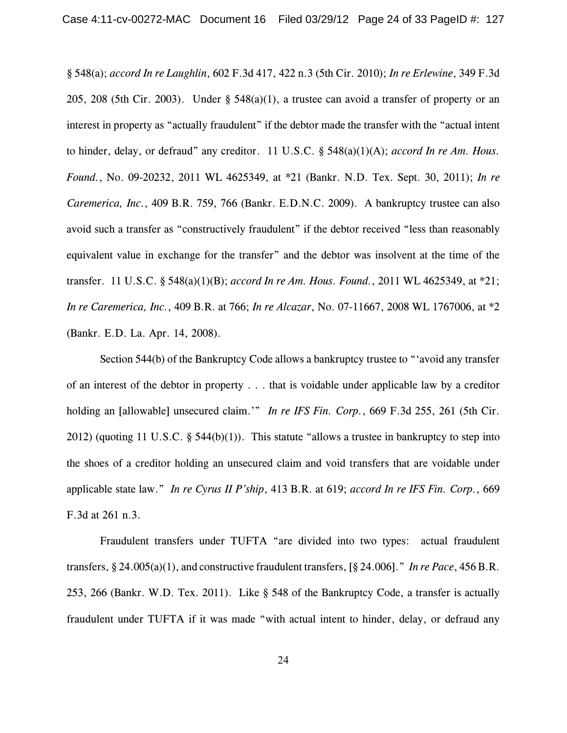§ 548(a); *accord In re Laughlin*, 602 F.3d 417, 422 n.3 (5th Cir. 2010); *In re Erlewine*, 349 F.3d 205, 208 (5th Cir. 2003). Under  $\S$  548(a)(1), a trustee can avoid a transfer of property or an interest in property as "actually fraudulent" if the debtor made the transfer with the "actual intent to hinder, delay, or defraud" any creditor. 11 U.S.C. § 548(a)(1)(A); *accord In re Am. Hous. Found.*, No. 09-20232, 2011 WL 4625349, at \*21 (Bankr. N.D. Tex. Sept. 30, 2011); *In re Caremerica, Inc.*, 409 B.R. 759, 766 (Bankr. E.D.N.C. 2009). A bankruptcy trustee can also avoid such a transfer as "constructively fraudulent" if the debtor received "less than reasonably equivalent value in exchange for the transfer" and the debtor was insolvent at the time of the transfer. 11 U.S.C. § 548(a)(1)(B); *accord In re Am. Hous. Found.*, 2011 WL 4625349, at \*21; *In re Caremerica, Inc.*, 409 B.R. at 766; *In re Alcazar*, No. 07-11667, 2008 WL 1767006, at \*2 (Bankr. E.D. La. Apr. 14, 2008).

Section 544(b) of the Bankruptcy Code allows a bankruptcy trustee to "'avoid any transfer of an interest of the debtor in property . . . that is voidable under applicable law by a creditor holding an [allowable] unsecured claim.'" *In re IFS Fin. Corp.*, 669 F.3d 255, 261 (5th Cir. 2012) (quoting 11 U.S.C. § 544(b)(1)). This statute "allows a trustee in bankruptcy to step into the shoes of a creditor holding an unsecured claim and void transfers that are voidable under applicable state law." *In re Cyrus II P'ship*, 413 B.R. at 619; *accord In re IFS Fin. Corp.*, 669 F.3d at 261 n.3.

Fraudulent transfers under TUFTA "are divided into two types: actual fraudulent transfers, § 24.005(a)(1), and constructive fraudulent transfers, [§ 24.006]." *In re Pace*, 456 B.R. 253, 266 (Bankr. W.D. Tex. 2011). Like § 548 of the Bankruptcy Code, a transfer is actually fraudulent under TUFTA if it was made "with actual intent to hinder, delay, or defraud any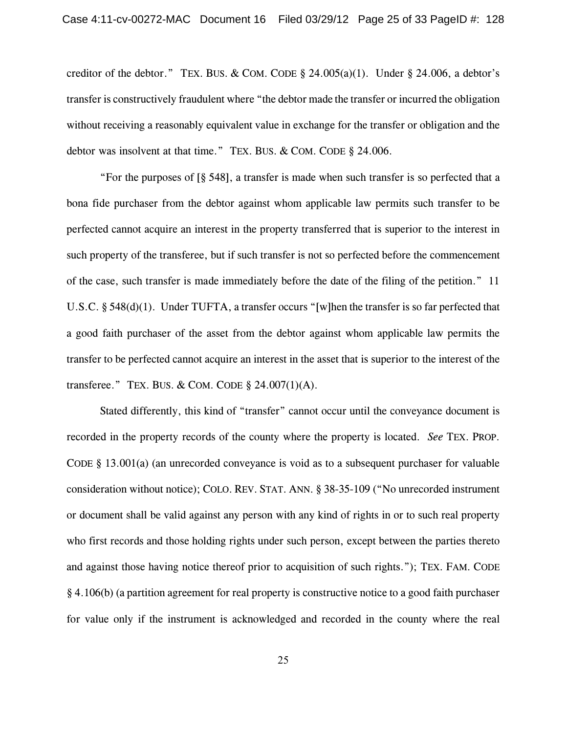creditor of the debtor." TEX. BUS. & COM. CODE  $\S$  24.005(a)(1). Under  $\S$  24.006, a debtor's transfer is constructively fraudulent where "the debtor made the transfer or incurred the obligation without receiving a reasonably equivalent value in exchange for the transfer or obligation and the debtor was insolvent at that time." TEX. BUS. & COM. CODE § 24.006.

"For the purposes of  $\lbrack 8, 548 \rbrack$ , a transfer is made when such transfer is so perfected that a bona fide purchaser from the debtor against whom applicable law permits such transfer to be perfected cannot acquire an interest in the property transferred that is superior to the interest in such property of the transferee, but if such transfer is not so perfected before the commencement of the case, such transfer is made immediately before the date of the filing of the petition." 11 U.S.C. § 548(d)(1). Under TUFTA, a transfer occurs "[w]hen the transfer is so far perfected that a good faith purchaser of the asset from the debtor against whom applicable law permits the transfer to be perfected cannot acquire an interest in the asset that is superior to the interest of the transferee." TEX. BUS. & COM. CODE  $\S$  24.007(1)(A).

Stated differently, this kind of "transfer" cannot occur until the conveyance document is recorded in the property records of the county where the property is located. *See* TEX. PROP. CODE § 13.001(a) (an unrecorded conveyance is void as to a subsequent purchaser for valuable consideration without notice); COLO. REV. STAT. ANN. § 38-35-109 ("No unrecorded instrument or document shall be valid against any person with any kind of rights in or to such real property who first records and those holding rights under such person, except between the parties thereto and against those having notice thereof prior to acquisition of such rights."); TEX. FAM. CODE § 4.106(b) (a partition agreement for real property is constructive notice to a good faith purchaser for value only if the instrument is acknowledged and recorded in the county where the real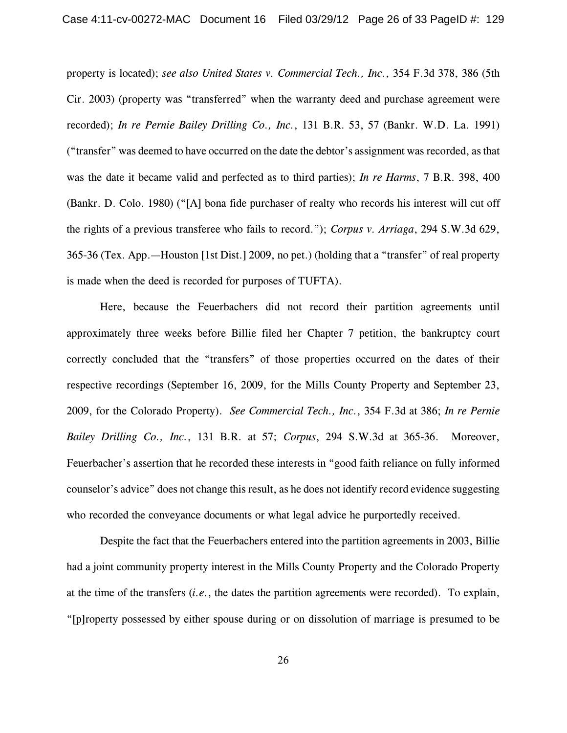property is located); *see also United States v. Commercial Tech., Inc.*, 354 F.3d 378, 386 (5th Cir. 2003) (property was "transferred" when the warranty deed and purchase agreement were recorded); *In re Pernie Bailey Drilling Co., Inc.*, 131 B.R. 53, 57 (Bankr. W.D. La. 1991) ("transfer" was deemed to have occurred on the date the debtor's assignment was recorded, as that was the date it became valid and perfected as to third parties); *In re Harms*, 7 B.R. 398, 400 (Bankr. D. Colo. 1980) ("[A] bona fide purchaser of realty who records his interest will cut off the rights of a previous transferee who fails to record."); *Corpus v. Arriaga*, 294 S.W.3d 629, 365-36 (Tex. App.—Houston [1st Dist.] 2009, no pet.) (holding that a "transfer" of real property is made when the deed is recorded for purposes of TUFTA).

Here, because the Feuerbachers did not record their partition agreements until approximately three weeks before Billie filed her Chapter 7 petition, the bankruptcy court correctly concluded that the "transfers" of those properties occurred on the dates of their respective recordings (September 16, 2009, for the Mills County Property and September 23, 2009, for the Colorado Property). *See Commercial Tech., Inc.*, 354 F.3d at 386; *In re Pernie Bailey Drilling Co., Inc.*, 131 B.R. at 57; *Corpus*, 294 S.W.3d at 365-36. Moreover, Feuerbacher's assertion that he recorded these interests in "good faith reliance on fully informed counselor's advice" does not change this result, as he does not identify record evidence suggesting who recorded the conveyance documents or what legal advice he purportedly received.

Despite the fact that the Feuerbachers entered into the partition agreements in 2003, Billie had a joint community property interest in the Mills County Property and the Colorado Property at the time of the transfers (*i.e.*, the dates the partition agreements were recorded). To explain, "[p]roperty possessed by either spouse during or on dissolution of marriage is presumed to be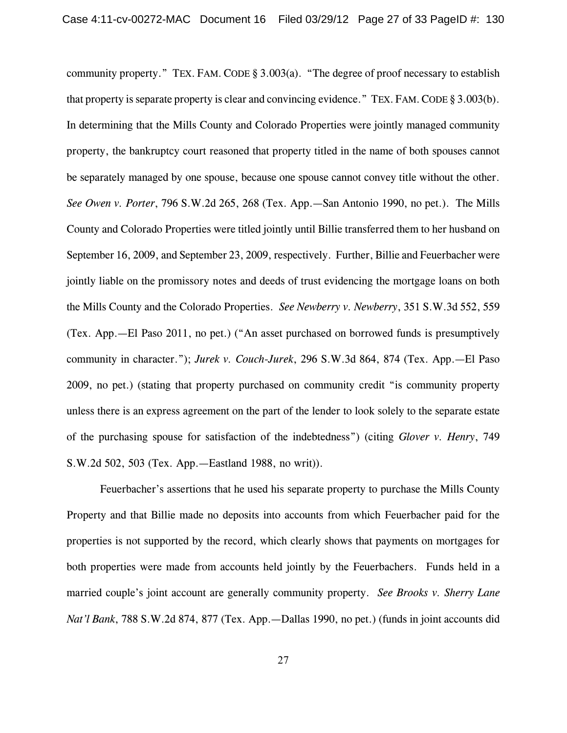community property." TEX. FAM.CODE § 3.003(a). "The degree of proof necessary to establish that property is separate property is clear and convincing evidence." TEX. FAM. CODE § 3.003(b). In determining that the Mills County and Colorado Properties were jointly managed community property, the bankruptcy court reasoned that property titled in the name of both spouses cannot be separately managed by one spouse, because one spouse cannot convey title without the other. *See Owen v. Porter*, 796 S.W.2d 265, 268 (Tex. App.—San Antonio 1990, no pet.). The Mills County and Colorado Properties were titled jointly until Billie transferred them to her husband on September 16, 2009, and September 23, 2009, respectively. Further, Billie and Feuerbacher were jointly liable on the promissory notes and deeds of trust evidencing the mortgage loans on both the Mills County and the Colorado Properties. *See Newberry v. Newberry*, 351 S.W.3d 552, 559 (Tex. App.—El Paso 2011, no pet.) ("An asset purchased on borrowed funds is presumptively community in character."); *Jurek v. Couch-Jurek*, 296 S.W.3d 864, 874 (Tex. App.—El Paso 2009, no pet.) (stating that property purchased on community credit "is community property unless there is an express agreement on the part of the lender to look solely to the separate estate of the purchasing spouse for satisfaction of the indebtedness") (citing *Glover v. Henry*, 749 S.W.2d 502, 503 (Tex. App.—Eastland 1988, no writ)).

Feuerbacher's assertions that he used his separate property to purchase the Mills County Property and that Billie made no deposits into accounts from which Feuerbacher paid for the properties is not supported by the record, which clearly shows that payments on mortgages for both properties were made from accounts held jointly by the Feuerbachers. Funds held in a married couple's joint account are generally community property. *See Brooks v. Sherry Lane Nat'l Bank*, 788 S.W.2d 874, 877 (Tex. App.—Dallas 1990, no pet.) (funds in joint accounts did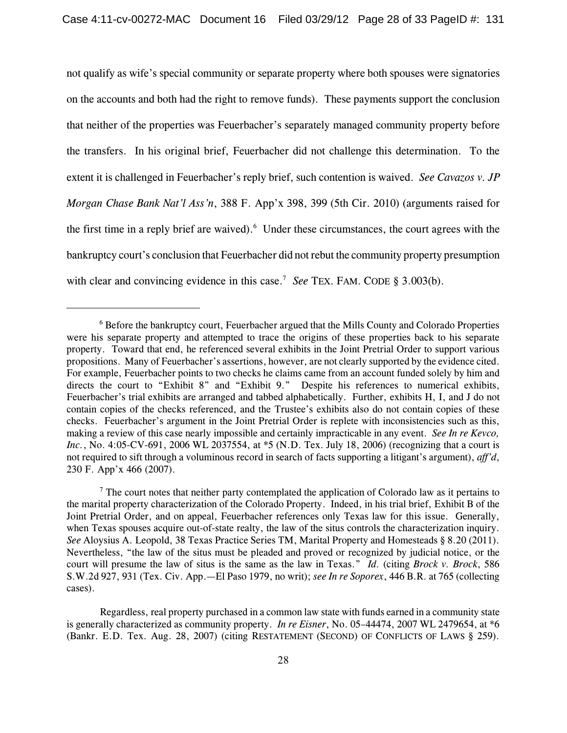not qualify as wife's special community or separate property where both spouses were signatories on the accounts and both had the right to remove funds). These payments support the conclusion that neither of the properties was Feuerbacher's separately managed community property before the transfers. In his original brief, Feuerbacher did not challenge this determination. To the extent it is challenged in Feuerbacher's reply brief, such contention is waived. *See Cavazos v. JP Morgan Chase Bank Nat'l Ass'n*, 388 F. App'x 398, 399 (5th Cir. 2010) (arguments raised for the first time in a reply brief are waived). Under these circumstances, the court agrees with the bankruptcy court's conclusion that Feuerbacher did not rebut the community property presumption with clear and convincing evidence in this case.<sup>7</sup> See TEX. FAM. CODE § 3.003(b).

 $6$  Before the bankruptcy court, Feuerbacher argued that the Mills County and Colorado Properties were his separate property and attempted to trace the origins of these properties back to his separate property. Toward that end, he referenced several exhibits in the Joint Pretrial Order to support various propositions. Many of Feuerbacher's assertions, however, are not clearly supported by the evidence cited. For example, Feuerbacher points to two checks he claims came from an account funded solely by him and directs the court to "Exhibit 8" and "Exhibit 9." Despite his references to numerical exhibits, Feuerbacher's trial exhibits are arranged and tabbed alphabetically. Further, exhibits H, I, and J do not contain copies of the checks referenced, and the Trustee's exhibits also do not contain copies of these checks. Feuerbacher's argument in the Joint Pretrial Order is replete with inconsistencies such as this, making a review of this case nearly impossible and certainly impracticable in any event. *See In re Kevco, Inc.*, No. 4:05-CV-691, 2006 WL 2037554, at \*5 (N.D. Tex. July 18, 2006) (recognizing that a court is not required to sift through a voluminous record in search of facts supporting a litigant's argument), *aff'd*, 230 F. App'x 466 (2007).

 $\frac{7}{1}$  The court notes that neither party contemplated the application of Colorado law as it pertains to the marital property characterization of the Colorado Property. Indeed, in his trial brief, Exhibit B of the Joint Pretrial Order, and on appeal, Feuerbacher references only Texas law for this issue. Generally, when Texas spouses acquire out-of-state realty, the law of the situs controls the characterization inquiry. *See* Aloysius A. Leopold, 38 Texas Practice Series TM, Marital Property and Homesteads § 8.20 (2011). Nevertheless, "the law of the situs must be pleaded and proved or recognized by judicial notice, or the court will presume the law of situs is the same as the law in Texas." *Id.* (citing *Brock v. Brock*, 586 S.W.2d 927, 931 (Tex. Civ. App.—El Paso 1979, no writ); *see In re Soporex*, 446 B.R. at 765 (collecting cases).

Regardless, real property purchased in a common law state with funds earned in a community state is generally characterized as community property. *In re Eisner*, No. 05–44474, 2007 WL 2479654, at \*6 (Bankr. E.D. Tex. Aug. 28, 2007) (citing RESTATEMENT (SECOND) OF CONFLICTS OF LAWS § 259).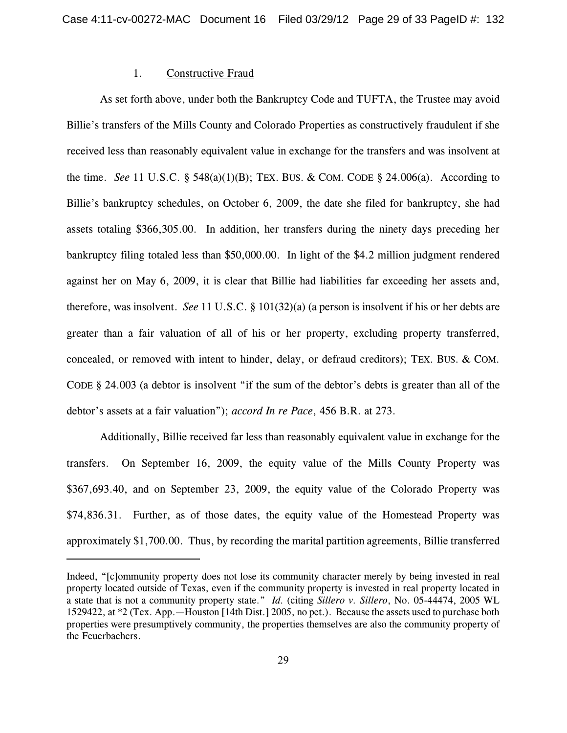### 1. Constructive Fraud

As set forth above, under both the Bankruptcy Code and TUFTA, the Trustee may avoid Billie's transfers of the Mills County and Colorado Properties as constructively fraudulent if she received less than reasonably equivalent value in exchange for the transfers and was insolvent at the time. *See* 11 U.S.C. § 548(a)(1)(B); TEX. BUS. & COM. CODE § 24.006(a). According to Billie's bankruptcy schedules, on October 6, 2009, the date she filed for bankruptcy, she had assets totaling \$366,305.00. In addition, her transfers during the ninety days preceding her bankruptcy filing totaled less than \$50,000.00. In light of the \$4.2 million judgment rendered against her on May 6, 2009, it is clear that Billie had liabilities far exceeding her assets and, therefore, was insolvent. *See* 11 U.S.C. § 101(32)(a) (a person is insolvent if his or her debts are greater than a fair valuation of all of his or her property, excluding property transferred, concealed, or removed with intent to hinder, delay, or defraud creditors); TEX. BUS. & COM. CODE § 24.003 (a debtor is insolvent "if the sum of the debtor's debts is greater than all of the debtor's assets at a fair valuation"); *accord In re Pace*, 456 B.R. at 273.

Additionally, Billie received far less than reasonably equivalent value in exchange for the transfers. On September 16, 2009, the equity value of the Mills County Property was \$367,693.40, and on September 23, 2009, the equity value of the Colorado Property was \$74,836.31. Further, as of those dates, the equity value of the Homestead Property was approximately \$1,700.00. Thus, by recording the marital partition agreements, Billie transferred

Indeed, "[c]ommunity property does not lose its community character merely by being invested in real property located outside of Texas, even if the community property is invested in real property located in a state that is not a community property state." *Id.* (citing *Sillero v. Sillero*, No. 05-44474, 2005 WL 1529422, at \*2 (Tex. App.—Houston [14th Dist.] 2005, no pet.). Because the assets used to purchase both properties were presumptively community, the properties themselves are also the community property of the Feuerbachers.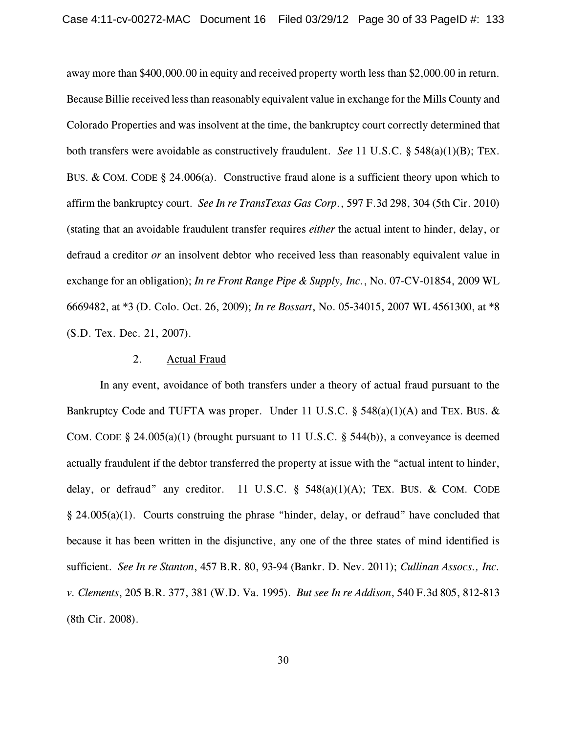away more than \$400,000.00 in equity and received property worth less than \$2,000.00 in return. Because Billie received less than reasonably equivalent value in exchange for the Mills County and Colorado Properties and was insolvent at the time, the bankruptcy court correctly determined that both transfers were avoidable as constructively fraudulent. *See* 11 U.S.C. § 548(a)(1)(B); TEX. BUS. & COM. CODE § 24.006(a). Constructive fraud alone is a sufficient theory upon which to affirm the bankruptcy court. *See In re TransTexas Gas Corp.*, 597 F.3d 298, 304 (5th Cir. 2010) (stating that an avoidable fraudulent transfer requires *either* the actual intent to hinder, delay, or defraud a creditor *or* an insolvent debtor who received less than reasonably equivalent value in exchange for an obligation); *In re Front Range Pipe & Supply, Inc.*, No. 07-CV-01854, 2009 WL 6669482, at \*3 (D. Colo. Oct. 26, 2009); *In re Bossart*, No. 05-34015, 2007 WL 4561300, at \*8 (S.D. Tex. Dec. 21, 2007).

#### 2. Actual Fraud

In any event, avoidance of both transfers under a theory of actual fraud pursuant to the Bankruptcy Code and TUFTA was proper. Under 11 U.S.C. § 548(a)(1)(A) and TEX. BUS. & COM. CODE § 24.005(a)(1) (brought pursuant to 11 U.S.C. § 544(b)), a conveyance is deemed actually fraudulent if the debtor transferred the property at issue with the "actual intent to hinder, delay, or defraud" any creditor. 11 U.S.C.  $\S$  548(a)(1)(A); TEX. BUS. & COM. CODE § 24.005(a)(1). Courts construing the phrase "hinder, delay, or defraud" have concluded that because it has been written in the disjunctive, any one of the three states of mind identified is sufficient. *See In re Stanton*, 457 B.R. 80, 93-94 (Bankr. D. Nev. 2011); *Cullinan Assocs., Inc. v. Clements*, 205 B.R. 377, 381 (W.D. Va. 1995). *But see In re Addison*, 540 F.3d 805, 812-813 (8th Cir. 2008).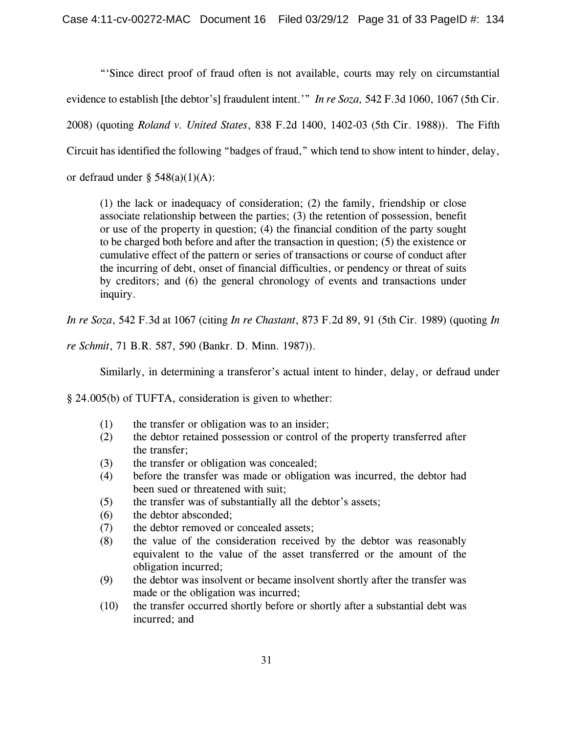"'Since direct proof of fraud often is not available, courts may rely on circumstantial evidence to establish [the debtor's] fraudulent intent.'" *In re Soza,* 542 F.3d 1060, 1067 (5th Cir. 2008) (quoting *Roland v. United States*, 838 F.2d 1400, 1402-03 (5th Cir. 1988)). The Fifth Circuit has identified the following "badges of fraud," which tend to show intent to hinder, delay, or defraud under  $\S$  548(a)(1)(A):

(1) the lack or inadequacy of consideration; (2) the family, friendship or close associate relationship between the parties; (3) the retention of possession, benefit or use of the property in question; (4) the financial condition of the party sought to be charged both before and after the transaction in question; (5) the existence or cumulative effect of the pattern or series of transactions or course of conduct after the incurring of debt, onset of financial difficulties, or pendency or threat of suits by creditors; and (6) the general chronology of events and transactions under inquiry.

*In re Soza*, 542 F.3d at 1067 (citing *In re Chastant*, 873 F.2d 89, 91 (5th Cir. 1989) (quoting *In*

*re Schmit*, 71 B.R. 587, 590 (Bankr. D. Minn. 1987)).

Similarly, in determining a transferor's actual intent to hinder, delay, or defraud under

§ 24.005(b) of TUFTA, consideration is given to whether:

- (1) the transfer or obligation was to an insider;
- (2) the debtor retained possession or control of the property transferred after the transfer;
- (3) the transfer or obligation was concealed;
- (4) before the transfer was made or obligation was incurred, the debtor had been sued or threatened with suit;
- (5) the transfer was of substantially all the debtor's assets;
- (6) the debtor absconded;
- (7) the debtor removed or concealed assets;
- (8) the value of the consideration received by the debtor was reasonably equivalent to the value of the asset transferred or the amount of the obligation incurred;
- (9) the debtor was insolvent or became insolvent shortly after the transfer was made or the obligation was incurred;
- (10) the transfer occurred shortly before or shortly after a substantial debt was incurred; and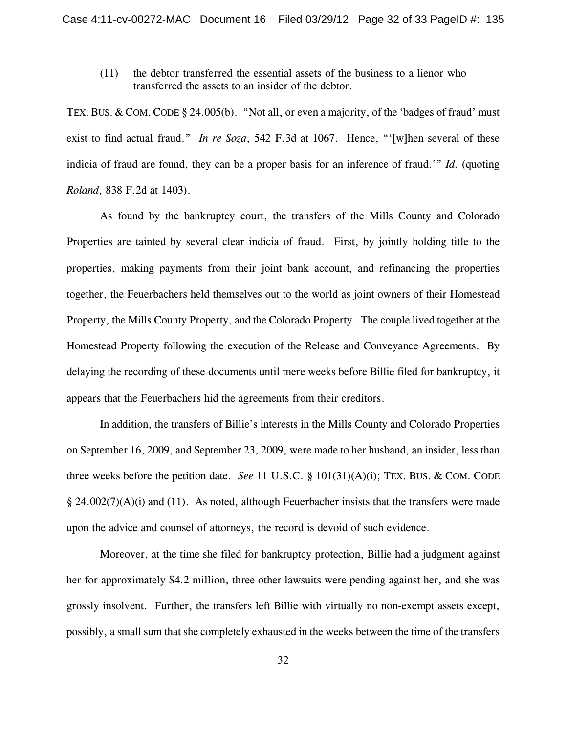(11) the debtor transferred the essential assets of the business to a lienor who transferred the assets to an insider of the debtor.

TEX. BUS. & COM. CODE § 24.005(b). "Not all, or even a majority, of the 'badges of fraud' must exist to find actual fraud." *In re Soza*, 542 F.3d at 1067. Hence, "'[w]hen several of these indicia of fraud are found, they can be a proper basis for an inference of fraud.'" *Id.* (quoting *Roland*, 838 F.2d at 1403).

As found by the bankruptcy court, the transfers of the Mills County and Colorado Properties are tainted by several clear indicia of fraud. First, by jointly holding title to the properties, making payments from their joint bank account, and refinancing the properties together, the Feuerbachers held themselves out to the world as joint owners of their Homestead Property, the Mills County Property, and the Colorado Property. The couple lived together at the Homestead Property following the execution of the Release and Conveyance Agreements. By delaying the recording of these documents until mere weeks before Billie filed for bankruptcy, it appears that the Feuerbachers hid the agreements from their creditors.

In addition, the transfers of Billie's interests in the Mills County and Colorado Properties on September 16, 2009, and September 23, 2009, were made to her husband, an insider, less than three weeks before the petition date. *See* 11 U.S.C. § 101(31)(A)(i); TEX. BUS. & COM. CODE  $\S$  24.002(7)(A)(i) and (11). As noted, although Feuerbacher insists that the transfers were made upon the advice and counsel of attorneys, the record is devoid of such evidence.

Moreover, at the time she filed for bankruptcy protection, Billie had a judgment against her for approximately \$4.2 million, three other lawsuits were pending against her, and she was grossly insolvent. Further, the transfers left Billie with virtually no non-exempt assets except, possibly, a small sum that she completely exhausted in the weeks between the time of the transfers